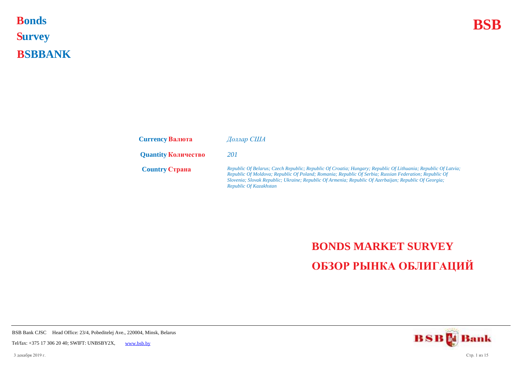**Bonds BSB S urvey B SBBANK Bonds** 

| <b>Currency Валюта</b>     | Доллар США                                                                                                                                                                                                                                                                                                                                                |
|----------------------------|-----------------------------------------------------------------------------------------------------------------------------------------------------------------------------------------------------------------------------------------------------------------------------------------------------------------------------------------------------------|
| <b>Quantity Количество</b> | 201                                                                                                                                                                                                                                                                                                                                                       |
| <b>Country Crpaha</b>      | Republic Of Belarus; Czech Republic; Republic Of Croatia; Hungary; Republic Of Lithuania; Republic Of Latvia;<br>Republic Of Moldova; Republic Of Poland; Romania; Republic Of Serbia; Russian Federation; Republic Of<br>Slovenia; Slovak Republic; Ukraine; Republic Of Armenia; Republic Of Azerbaijan; Republic Of Georgia;<br>Republic Of Kazakhstan |

## **BONDS MARKET SURVEY ОБЗОР РЫНКА ОБЛИГАЦИЙ**

**BSBM** Bank

BSB Bank CJSC Head Office: 23/4, Pobeditelej Ave., 220004, Minsk, Belarus

Tel/fax: +375 17 306 20 40; SWIFT: UNBSBY2X, [www.bsb.by](https://www.bsb.by/)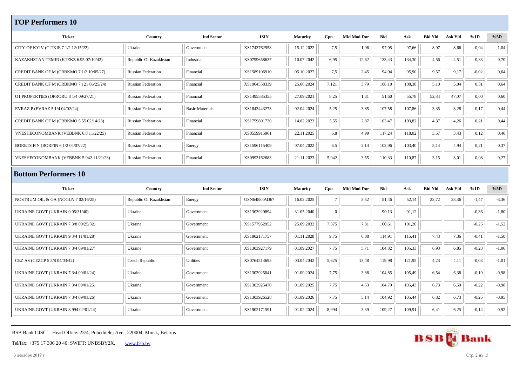## **TOP Performers 10**

| <b>Ticker</b>                                | Country                   | <b>Ind Sector</b>      | <b>ISIN</b>         | <b>Maturity</b> | Cpn      | <b>Mid Mod Dur</b> | Bid    | Ask    | <b>Bid Yld</b> | <b>Ask Yld</b> | %1D     | %5D     |
|----------------------------------------------|---------------------------|------------------------|---------------------|-----------------|----------|--------------------|--------|--------|----------------|----------------|---------|---------|
| CITY OF KYIV (CITKIE 7 1/2 12/15/22)         | Ukraine                   | Government             | XS1743762558        | 15.12.2022      | 7,5      | 1,96               | 97,05  | 97,66  | 8,97           | 8,66           | 0,04    | 1,04    |
| KAZAKHSTAN TEMIR (KTZKZ 6.95 07/10/42)       | Republic Of Kazakhstan    | Industrial             | XS0799658637        | 10.07.2042      | 6,95     | 12,62              | 133,43 | 134,30 | 4,56           | 4,51           | 0,33    | 0,70    |
| CREDIT BANK OF M (CRBKMO 7 1/2 10/05/27)     | <b>Russian Federation</b> | Financial              | XS1589106910        | 05.10.2027      | 7,5      | 2,45               | 94,94  | 95,90  | 9,57           | 9,17           | $-0,02$ | 0,64    |
| CREDIT BANK OF M (CRBKMO 7.121 06/25/24)     | <b>Russian Federation</b> | Financial              | XS1964558339        | 25.06.2024      | 7,121    | 3,79               | 108,10 | 108,38 | 5,10           | 5,04           | 0,31    | 0,64    |
| O1 PROPERTIES (OPRORU 8 1/4 09/27/21)        | <b>Russian Federation</b> | Financial              | XS1495585355        | 27.09.2021      | 8,25     | 1,31               | 51,60  | 55,78  | 52,84          | 47.07          | 0,00    | 0,60    |
| EVRAZ P (EVRAZ 5 1/4 04/02/24)               | <b>Russian Federation</b> | <b>Basic Materials</b> | XS1843443273        | 02.04.2024      | 5,25     | 3,85               | 107,58 | 107,86 | 3,35           | 3,28           | 0,17    | 0,44    |
| CREDIT BANK OF M (CRBKMO 5.55 02/14/23)      | <b>Russian Federation</b> | Financial              | XS1759801720        | 14.02.2023      | 5,55     | 2,87               | 103,47 | 103,82 | 4,37           | 4,26           | 0,21    | 0,44    |
| <b>VNESHECONOMBANK (VEBBNK 6.8 11/22/25)</b> | <b>Russian Federation</b> | Financial              | XS0559915961        | 22.11.2025      | 6,8      | 4,99               | 117,24 | 118,02 | 3,57           | 3,43           | 0,12    | 0,40    |
| BORETS FIN (BORFIN 6 1/2 04/07/22)           | <b>Russian Federation</b> | Energy                 | XS1596115409        | 07.04.2022      | 6,5      | 2,14               | 102,96 | 103,40 | 5,14           | 4,94           | 0,21    | 0,37    |
| VNESHECONOMBANK (VEBBNK 5.942 11/21/23)      | <b>Russian Federation</b> | Financial              | XS0993162683        | 21.11.2023      | 5,942    | 3,55               | 110,33 | 110,87 | 3,15           | 3,01           | 0,08    | 0,27    |
| <b>Bottom Performers 10</b>                  |                           |                        |                     |                 |          |                    |        |        |                |                |         |         |
| <b>Ticker</b>                                | Country                   | <b>Ind Sector</b>      | <b>ISIN</b>         | <b>Maturity</b> | Cpn      | <b>Mid Mod Dur</b> | Bid    | Ask    | <b>Bid Yld</b> | <b>Ask Yld</b> | %1D     | $\%5D$  |
| NOSTRUM OIL & GA (NOGLN 7 02/16/25)          | Republic Of Kazakhstan    | Energy                 | <b>USN64884AD67</b> | 16.02.2025      |          | 3,52               | 51,46  | 52,14  | 23,72          | 23,36          | $-1,47$ | $-3,36$ |
| UKRAINE GOVT (UKRAIN 0 05/31/40)             | Ukraine                   | Government             | XS1303929894        | 31.05.2040      | $\Omega$ |                    | 90,13  | 91,12  |                |                | $-0,36$ | $-1,80$ |
| UKRAINE GOVT (UKRAIN 7 3/8 09/25/32)         | Ukraine                   | Government             | XS1577952952        | 25.09.2032      | 7,375    | 7,81               | 100,61 | 101,20 |                |                | $-0,25$ | $-1,52$ |

| UKRAINE GOVT (UKRAIN 0 05/31/40)            | Ukraine        | Government       | XS1303929894 | 31.05.2040 | $\Omega$ |       | 90,13  | 91,12  |      |      | $-0.36$ | $-1,80$ |
|---------------------------------------------|----------------|------------------|--------------|------------|----------|-------|--------|--------|------|------|---------|---------|
| <b>UKRAINE GOVT (UKRAIN 7 3/8 09/25/32)</b> | Ukraine        | Government       | XS1577952952 | 25.09.2032 | 7,375    | 7,81  | 100,61 | 101,20 |      |      | $-0.25$ | $-1,52$ |
| <b>UKRAINE GOVT (UKRAIN 9 3/4 11/01/28)</b> | Ukraine        | Government       | XS1902171757 | 01.11.2028 | 9,75     | 6,08  | 114,91 | 115,41 | 7,43 | 7,36 | $-0,41$ | $-1,50$ |
| <b>UKRAINE GOVT (UKRAIN 7 3/4 09/01/27)</b> | Ukraine        | Government       | XS1303927179 | 01.09.2027 | 7,75     | 5,71  | 104,82 | 105,33 | 6,93 | 6,85 | $-0.23$ | $-1,06$ |
| CEZ AS (CEZCP 5 5/8 04/03/42)               | Czech Republic | <b>Utilities</b> | XS0764314695 | 03.04.2042 | 5,625    | 13,48 | 119,98 | 121,95 | 4,23 | 4,11 | $-0.03$ | $-1,01$ |
| <b>UKRAINE GOVT (UKRAIN 7 3/4 09/01/24)</b> | Ukraine        | Government       | XS1303925041 | 01.09.2024 | 7,75     | 3,88  | 104,85 | 105,49 | 6,54 | 6,38 | $-0.19$ | $-0.98$ |
| <b>UKRAINE GOVT (UKRAIN 7 3/4 09/01/25)</b> | Ukraine        | Government       | XS1303925470 | 01.09.2025 | 7,75     | 4,53  | 104,79 | 105,43 | 6,73 | 6,59 | $-0,22$ | $-0.98$ |
| UKRAINE GOVT (UKRAIN 7 3/4 09/01/26)        | Ukraine        | Government       | XS1303926528 | 01.09.2026 | 7,75     | 5,14  | 104,92 | 105,44 | 6,82 | 6,73 | $-0.25$ | $-0.95$ |
| <b>UKRAINE GOVT (UKRAIN 8.994 02/01/24)</b> | Ukraine        | Government       | XS1902171591 | 01.02.2024 | 8,994    | 3,39  | 109,27 | 109,91 | 6,41 | 6,25 | $-0,14$ | $-0.92$ |



3 декабря 2019 г. Стр. 2 из 15

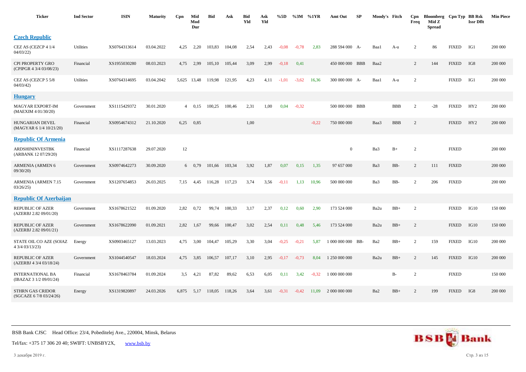| Ticker                                            | <b>Ind Sector</b> | <b>ISIN</b>  | <b>Maturity</b> | Cpn   | Mid<br>Mod<br>Dur | <b>Bid</b> | Ask    | <b>Bid</b><br>Yld | Ask<br>Yld | %5D     | %3M     | %1YR    | Amt Out           | SP | Moody's Fitch |            | Cpn<br>Freq    | Bloomberg<br>Mid Z<br><b>Spread</b> | Cpn Typ BB Rsk | <b>Issr Dflt</b> | <b>Min Piece</b> |
|---------------------------------------------------|-------------------|--------------|-----------------|-------|-------------------|------------|--------|-------------------|------------|---------|---------|---------|-------------------|----|---------------|------------|----------------|-------------------------------------|----------------|------------------|------------------|
| <b>Czech Republic</b>                             |                   |              |                 |       |                   |            |        |                   |            |         |         |         |                   |    |               |            |                |                                     |                |                  |                  |
| CEZ AS (CEZCP 4 1/4<br>04/03/22                   | Utilities         | XS0764313614 | 03.04.2022      | 4,25  | 2,20              | 103.83     | 104.08 | 2,54              | 2,43       | $-0.08$ | $-0.78$ | 2,83    | 288 594 000 A-    |    | Baa1          | A-u        | 2              | 86                                  | <b>FIXED</b>   | IG1              | 200 000          |
| CPI PROPERTY GRO<br>(CPIPGR 4 3/4 03/08/23)       | Financial         | XS1955030280 | 08.03.2023      | 4,75  | 2,99              | 105,10     | 105,44 | 3,09              | 2,99       | $-0,18$ | 0,41    |         | 450 000 000 BBB   |    | Baa2          |            | 2              | 144                                 | <b>FIXED</b>   | IG8              | 200 000          |
| CEZ AS (CEZCP 5 5/8<br>04/03/42                   | Utilities         | XS0764314695 | 03.04.2042      |       | 5,625 13,48       | 119,98     | 121,95 | 4,23              | 4,11       | $-1,01$ | $-3,62$ | 16,36   | 300 000 000 A-    |    | Baa1          | A-u        | 2              |                                     | <b>FIXED</b>   | IG1              | 200 000          |
| <b>Hungary</b>                                    |                   |              |                 |       |                   |            |        |                   |            |         |         |         |                   |    |               |            |                |                                     |                |                  |                  |
| <b>MAGYAR EXPORT-IM</b><br>(MAEXIM 4 01/30/20)    | Government        | XS1115429372 | 30.01.2020      | 4     | 0,15              | 100,25     | 100,46 | 2,31              | 1,00       | 0,04    | $-0,32$ |         | 500 000 000 BBB   |    |               | <b>BBB</b> | $\overline{2}$ | $-28$                               | <b>FIXED</b>   | HY <sub>2</sub>  | 200 000          |
| HUNGARIAN DEVEL<br>(MAGYAR 6 1/4 10/21/20)        | Financial         | XS0954674312 | 21.10.2020      | 6,25  | 0,85              |            |        | 1,00              |            |         |         | $-0,22$ | 750 000 000       |    | Baa3          | <b>BBB</b> | 2              |                                     | <b>FIXED</b>   | HY <sub>2</sub>  | 200 000          |
| <b>Republic Of Armenia</b>                        |                   |              |                 |       |                   |            |        |                   |            |         |         |         |                   |    |               |            |                |                                     |                |                  |                  |
| <b>ARDSHININVESTBK</b><br>(ARBANK 12 07/29/20)    | Financial         | XS1117287638 | 29.07.2020      | 12    |                   |            |        |                   |            |         |         |         | $\mathbf{0}$      |    | Ba3           | $B+$       | $\overline{2}$ |                                     | <b>FIXED</b>   |                  | 200 000          |
| ARMENIA (ARMEN 6<br>09/30/20                      | Government        | XS0974642273 | 30.09.2020      |       | $6\quad 0.79$     | 101,66     | 103,34 | 3,92              | 1,87       | 0,07    | 0,15    | 1,35    | 97 657 000        |    | Ba3           | BB-        | $\overline{2}$ | 111                                 | <b>FIXED</b>   |                  | 200 000          |
| <b>ARMENIA (ARMEN 7.15</b><br>03/26/25            | Government        | XS1207654853 | 26.03.2025      | 7,15  | 4,45              | 116,28     | 117,23 | 3,74              | 3,56       | $-0,11$ | 1,13    | 10,96   | 500 000 000       |    | Ba3           | BB-        | 2              | 206                                 | <b>FIXED</b>   |                  | 200 000          |
| <b>Republic Of Azerbaijan</b>                     |                   |              |                 |       |                   |            |        |                   |            |         |         |         |                   |    |               |            |                |                                     |                |                  |                  |
| <b>REPUBLIC OF AZER</b><br>(AZERBJ 2.82 09/01/20) | Government        | XS1678621522 | 01.09.2020      | 2,82  | 0,72              | 99.74      | 100,33 | 3,17              | 2,37       | 0,12    | 0,60    | 2,90    | 173 524 000       |    | Ba2u          | $BB+$      | 2              |                                     | <b>FIXED</b>   | IG10             | 150 000          |
| REPUBLIC OF AZER<br>(AZERBJ 2.82 09/01/21)        | Government        | XS1678622090 | 01.09.2021      | 2,82  | 1,67              | 99,66      | 100,47 | 3,02              | 2,54       | 0,11    | 0,48    | 5,46    | 173 524 000       |    | Ba2u          | $BB+$      | $\overline{2}$ |                                     | <b>FIXED</b>   | IG10             | 150 000          |
| STATE OIL CO AZE (SOIAZ<br>4 3/4 03/13/23)        | Energy            | XS0903465127 | 13.03.2023      | 4,75  | 3,00              | 104,47     | 105,29 | 3,30              | 3,04       | $-0,25$ | $-0,21$ | 5,87    | 1 000 000 000 BB- |    | Ba2           | $BB+$      | $\overline{2}$ | 159                                 | <b>FIXED</b>   | IG10             | 200 000          |
| REPUBLIC OF AZER<br>(AZERBJ 4 3/4 03/18/24)       | Government        | XS1044540547 | 18.03.2024      | 4,75  | 3,85              | 106,57     | 107,17 | 3,10              | 2,95       | $-0,17$ | $-0,73$ | 8.04    | 1 250 000 000     |    | Ba2u          | $BB+$      | 2              | 145                                 | <b>FIXED</b>   | IG10             | 200 000          |
| INTERNATIONAL BA<br>(IBAZAZ 3 1/2 09/01/24)       | Financial         | XS1678463784 | 01.09.2024      | 3,5   | 4,21              | 87,82      | 89,62  | 6,53              | 6,05       | 0,11    | 3,42    | $-0,32$ | 1 000 000 000     |    |               | B-         | $\overline{c}$ |                                     | <b>FIXED</b>   |                  | 150 000          |
| STHRN GAS CRIDOR<br>(SGCAZE 6 7/8 03/24/26)       | Energy            | XS1319820897 | 24.03.2026      | 6,875 | 5,17              | 118,05     | 118,26 | 3,64              | 3,61       | $-0,31$ | $-0,42$ | 11,09   | 2 000 000 000     |    | Ba2           | $BB+$      | $\overline{2}$ | 199                                 | <b>FIXED</b>   | IG8              | 200 000          |



3 декабря 2019 г. Стр. 3 из 15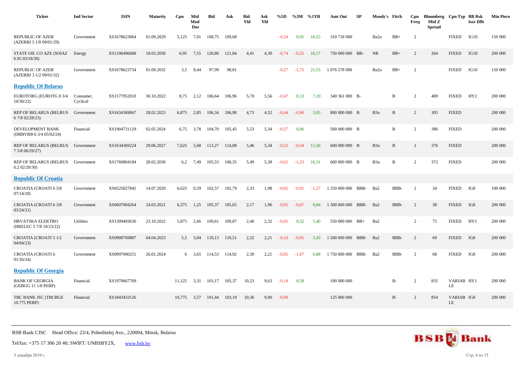| <b>Ticker</b>                                      | <b>Ind Sector</b>     | <b>ISIN</b>  | <b>Maturity</b> | Cpn    | Mid<br>Mod<br>Dur | <b>Bid</b> | Ask    | <b>Bid</b><br>Yld | Ask<br>Yld | %5D     | $\%3M$  | %1YR    | Amt Out            | SP   | Moody's Fitch   |             | Cpn<br>Freq    | Bloomberg Cpn Typ BB Rsk<br>Mid Z<br><b>Spread</b> |                  | <b>Issr Dflt</b> | <b>Min Piece</b> |
|----------------------------------------------------|-----------------------|--------------|-----------------|--------|-------------------|------------|--------|-------------------|------------|---------|---------|---------|--------------------|------|-----------------|-------------|----------------|----------------------------------------------------|------------------|------------------|------------------|
| <b>REPUBLIC OF AZER</b><br>(AZERBJ 5 1/8 09/01/29) | Government            | XS1678623064 | 01.09.2029      | 5,125  | 7,01              | 108,75     | 109,68 |                   |            | $-0.24$ | 0.05    | 16,55   | 310 718 000        |      | Ba2u            | $BB+$       | 2              |                                                    | <b>FIXED</b>     | IG10             | 150 000          |
| STATE OIL CO AZE (SOIAZ<br>6.9503/18/30            | Energy                | XS1196496688 | 18.03.2030      | 6,95   | 7,55              | 120,80     | 121,84 | 4,41              | 4,30       | $-0,74$ | $-0.25$ | 16,17   | 750 000 000 BB-    |      | <b>NR</b>       | $BB+$       | 2              | 264                                                | <b>FIXED</b>     | IG10             | 200 000          |
| REPUBLIC OF AZER<br>(AZERBJ 3 1/2 09/01/32)        | Government            | XS1678623734 | 01.09.2032      | 3,5    | 9,44              | 97,99      | 98,81  |                   |            | $-0,27$ | $-1,75$ | 21,55   | 1 076 578 000      |      | Ba2u            | $BB+$       | 2              |                                                    | <b>FIXED</b>     | IG10             | 150 000          |
| <b>Republic Of Belarus</b>                         |                       |              |                 |        |                   |            |        |                   |            |         |         |         |                    |      |                 |             |                |                                                    |                  |                  |                  |
| EUROTORG (EUROTG 8 3/4<br>10/30/22                 | Consumer,<br>Cyclical | XS1577952010 | 30.10.2022      | 8,75   | 2,12              | 106,64     | 106,96 | 5,70              | 5,56       | $-0.47$ | 0,13    | 7,19    | 340 361 000 B-     |      |                 | B           | 2              | 400                                                | <b>FIXED</b>     | HY2              | 200 000          |
| <b>REP OF BELARUS (BELRUS</b><br>6 7/8 02/28/23)   | Government            | XS1634369067 | 28.02.2023      | 6,875  | 2,85              | 106,34     | 106,98 | 4,73              | 4,52       | $-0.44$ | $-0.90$ | 5,05    | 800 000 000 B      |      | B <sub>3u</sub> | B           | 2              | 305                                                | <b>FIXED</b>     |                  | 200 000          |
| DEVELOPMENT BANK<br>(DBBYRB 6 3/4 05/02/24)        | Financial             | XS1904731129 | 02.05.2024      | 6,75   | 3,78              | 104.70     | 105,45 | 5,53              | 5,34       | $-0,27$ | 0,06    |         | 500 000 000 B      |      |                 | $\mathbf B$ | $\overline{2}$ | 386                                                | <b>FIXED</b>     |                  | 200 000          |
| <b>REP OF BELARUS (BELRUS</b><br>7 5/8 06/29/27)   | Government            | XS1634369224 | 29.06.2027      | 7,625  | 5,68              | 113,27     | 114,08 | 5,46              | 5,34       | $-0,52$ | $-0,34$ | 11,56   | 600 000 000 B      |      | B <sub>3u</sub> | B           | 2              | 376                                                | <b>FIXED</b>     |                  | 200 000          |
| REP OF BELARUS (BELRUS<br>6.202/28/30              | Government            | XS1760804184 | 28.02.2030      | 6.2    | 7,49              | 105,53     | 106,35 | 5,49              | 5,38       | $-0,62$ | $-1,33$ | 16,31   | 600 000 000 B      |      | B <sub>3u</sub> | B           | $\overline{2}$ | 372                                                | <b>FIXED</b>     |                  | 200 000          |
| <b>Republic Of Croatia</b>                         |                       |              |                 |        |                   |            |        |                   |            |         |         |         |                    |      |                 |             |                |                                                    |                  |                  |                  |
| CROATIA (CROATI 6 5/8<br>07/14/20                  | Government            | XS0525827845 | 14.07.2020      | 6,625  | 0.59              | 102,57     | 102,79 | 2,33              | 1,98       | $-0.02$ | $-0.92$ | $-1,27$ | 1 250 000 000      | BBB- | Ba2             | BBB-        | 2              | 34                                                 | <b>FIXED</b>     | IG8              | 100 000          |
| CROATIA (CROATI 6 3/8<br>03/24/21                  | Government            | XS0607904264 | 24.03.2021      | 6,375  | 1,25              | 105,37     | 105,65 | 2,17              | 1,96       | $-0.05$ | $-0.67$ | 0,84    | 1 500 000 000      | BBB- | Ba2             | BBB-        | 2              | 38                                                 | <b>FIXED</b>     | IG8              | 200 000          |
| HRVATSKA ELEKTRO<br>(HRELEC 5 7/8 10/23/22)        | Utilities             | XS1309493630 | 23.10.2022      | 5,875  | 2,66              | 109,61     | 109,87 | 2,40              | 2,32       | $-0.05$ | 0.52    | 5,40    | 550 000 000 BB+    |      | Ba2             |             | 2              | 75                                                 | <b>FIXED</b>     | HY1              | 200 000          |
| CROATIA (CROATI 5 1/2<br>04/04/23                  | Government            | XS0908769887 | 04.04.2023      | 5.5    | 3.04              | 110,13     | 110,51 | 2,32              | 2,21       | $-0.10$ | $-0.95$ | 5.43    | 1 500 000 000 BBB- |      | Ba2             | BBB-        | 2              | 69                                                 | <b>FIXED</b>     | IG8              | 200 000          |
| CROATIA (CROATI 6<br>01/26/24                      | Government            | XS0997000251 | 26.01.2024      |        | 6 3.65            | 114,53     | 114,92 | 2,30              | 2,21       | $-0.05$ | $-1,07$ | 6.88    | 1 750 000 000      | BBB- | Ba2             | BBB-        | 2              | 68                                                 | <b>FIXED</b>     | IG8              | 200 000          |
| <b>Republic Of Georgia</b>                         |                       |              |                 |        |                   |            |        |                   |            |         |         |         |                    |      |                 |             |                |                                                    |                  |                  |                  |
| <b>BANK OF GEORGIA</b><br>(GEBGG 11 1/8 PERP)      | Financial             | XS1970667769 |                 | 11,125 | 3,31              | 103,17     | 105,37 | 10,23             | 9,63       | $-0,14$ | 0.58    |         | 100 000 000        |      |                 | $B-$        | 2              | 835                                                | VARIAB HY1<br>LE |                  | 200 000          |
| TBC BANK JSC (TBCBGE<br>10.775 PERP)               | Financial             | XS1843433126 |                 | 10.775 | 3,57              | 101,44     | 103,19 | 10,36             | 9,90       | $-0.09$ |         |         | 125 000 000        |      |                 | $B-$        | 2              | 854                                                | VARIAB IG8<br>LE |                  | 200 000          |

Tel/fax: +375 17 306 20 40; SWIFT: UNBSBY2X, [www.bsb.by](https://www.bsb.by/)

3 декабря 2019 г. Стр. 4 из 15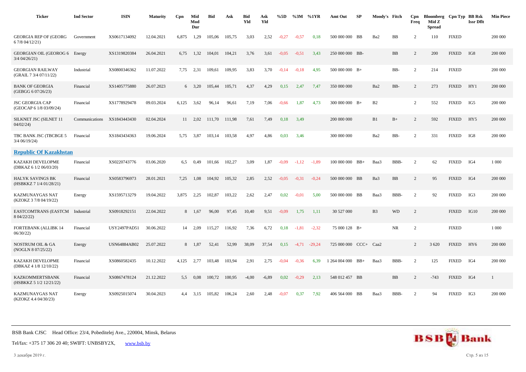| <b>Ticker</b>                                      | <b>Ind Sector</b> | <b>ISIN</b>         | <b>Maturity</b> | Cpn   | Mid<br>Mod<br>Dur | <b>Bid</b> | Ask    | <b>Bid</b><br>Yld | Ask<br>Yld | %5D     | $\%3M$ %1YR |          | Amt Out             | SP     | Moody's Fitch  |           | Cpn<br>Freq    | Bloomberg Cpn Typ BB Rsk<br>Mid Z<br><b>Spread</b> |              | <b>Issr Dflt</b> | <b>Min Piece</b> |
|----------------------------------------------------|-------------------|---------------------|-----------------|-------|-------------------|------------|--------|-------------------|------------|---------|-------------|----------|---------------------|--------|----------------|-----------|----------------|----------------------------------------------------|--------------|------------------|------------------|
| <b>GEORGIA REP OF (GEORG</b><br>6 7/8 04/12/21)    | Government        | XS0617134092        | 12.04.2021      | 6.875 | 1,29              | 105,06     | 105.75 | 3.03              | 2,52       | $-0.27$ | $-0.57$     | 0.18     | 500 000 000 BB      |        | Ba2            | <b>BB</b> | 2              | 110                                                | <b>FIXED</b> |                  | 200 000          |
| GEORGIAN OIL (GEOROG 6 Energy<br>3/4 04/26/21)     |                   | XS1319820384        | 26.04.2021      | 6,75  | 1,32              | 104,01     | 104,21 | 3,76              | 3,61       | $-0.05$ | $-0,51$     | 3,43     | 250 000 000 BB-     |        |                | <b>BB</b> | $\overline{2}$ | 200                                                | <b>FIXED</b> | IG8              | 200 000          |
| <b>GEORGIAN RAILWAY</b><br>(GRAIL 7 3/4 07/11/22)  | Industrial        | XS0800346362        | 11.07.2022      | 7,75  | 2,31              | 109,61     | 109,95 | 3,83              | 3,70       | $-0,14$ | $-0.18$     | 4,95     | $500000000$ B+      |        |                | BB-       | 2              | 214                                                | <b>FIXED</b> |                  | 200 000          |
| <b>BANK OF GEORGIA</b><br>(GEBGG 6 07/26/23)       | Financial         | XS1405775880        | 26.07.2023      |       | $6 \quad 3,20$    | 105,44     | 105,71 | 4,37              | 4,29       | 0,15    | 2,47        | 7,47     | 350 000 000         |        | Ba2            | BB-       | 2              | 273                                                | <b>FIXED</b> | HY1              | 200 000          |
| <b>JSC GEORGIA CAP</b><br>(GEOCAP 6 1/8 03/09/24)  | Financial         | XS1778929478        | 09.03.2024      | 6,125 | 3,62              | 96,14      | 96,61  | 7,19              | 7,06       | $-0,66$ | 1,87        | 4,73     | $300\ 000\ 000$ B+  |        | B2             |           | $\overline{2}$ | 552                                                | <b>FIXED</b> | IG5              | 200 000          |
| SILKNET JSC (SILNET 11<br>04/02/24                 | Communications    | XS1843443430        | 02.04.2024      |       | 11 2.02           | 111.70     | 111,98 | 7,61              | 7,49       | 0,18    | 3,49        |          | 200 000 000         |        | B1             | $B+$      | $\overline{c}$ | 592                                                | <b>FIXED</b> | HY5              | 200 000          |
| TBC BANK JSC (TBCBGE 5<br>3/4 06/19/24)            | Financial         | XS1843434363        | 19.06.2024      | 5,75  | 3,87              | 103,14     | 103,58 | 4,97              | 4,86       | 0,03    | 3,46        |          | 300 000 000         |        | Ba2            | BB-       | 2              | 331                                                | <b>FIXED</b> | IG8              | 200 000          |
| <b>Republic Of Kazakhstan</b>                      |                   |                     |                 |       |                   |            |        |                   |            |         |             |          |                     |        |                |           |                |                                                    |              |                  |                  |
| KAZAKH DEVELOPME<br>(DBKAZ 6 1/2 06/03/20)         | Financial         | XS0220743776        | 03.06.2020      | 6,5   | 0.49              | 101,66     | 102,27 | 3,09              | 1,87       | $-0.09$ | $-1,12$     | $-1,89$  | $100\ 000\ 000$ BB+ |        | Baa3           | BBB-      | 2              | 62                                                 | <b>FIXED</b> | IG4              | 1 0 0 0          |
| <b>HALYK SAVINGS BK</b><br>(HSBKKZ 7 1/4 01/28/21) | Financial         | XS0583796973        | 28.01.2021      | 7,25  | 1,08              | 104,92     | 105,32 | 2,85              | 2,52       | $-0.05$ | $-0.31$     | $-0,24$  | 500 000 000 BB      |        | Ba3            | <b>BB</b> | 2              | 95                                                 | <b>FIXED</b> | IG4              | 200 000          |
| KAZMUNAYGAS NAT<br>(KZOKZ 3 7/8 04/19/22)          | Energy            | XS1595713279        | 19.04.2022      | 3,875 | 2,25              | 102,87     | 103,22 | 2,62              | 2,47       | 0,02    | $-0.01$     | 5,00     | 500 000 000 BB      |        | Baa3           | BBB-      | 2              | 92                                                 | <b>FIXED</b> | IG3              | 200 000          |
| EASTCOMTRANS (EASTCM Industrial<br>8 04/22/22)     |                   | XS0918292151        | 22.04.2022      |       | 8 1,67            | 96,00      | 97,45  | 10,40             | 9,51       | $-0.09$ | 1,75        | 1,11     | 30 527 000          |        | B <sub>3</sub> | <b>WD</b> | 2              |                                                    | <b>FIXED</b> | IG10             | 200 000          |
| FORTEBANK (ALLIBK 14<br>06/30/22                   | Financial         | <b>USY2497PAD51</b> | 30.06.2022      | 14    | 2,09              | 115,27     | 116,92 | 7,36              | 6,72       | 0,18    | $-1,81$     | $-2,32$  | 75 000 128 B+       |        |                | <b>NR</b> | $\overline{2}$ |                                                    | <b>FIXED</b> |                  | 1 0 0 0          |
| <b>NOSTRUM OIL &amp; GA</b><br>(NOGLN 8 07/25/22)  | Energy            | <b>USN64884AB02</b> | 25.07.2022      | 8     | 1,87              | 52,41      | 52,99  | 38,09             | 37,54      | 0,15    | $-4,71$     | $-29,24$ | 725 000 000         | $CCC+$ | Caa2           |           | 2              | 3 6 20                                             | <b>FIXED</b> | HY <sub>6</sub>  | 200 000          |
| <b>KAZAKH DEVELOPME</b><br>(DBKAZ 4 1/8 12/10/22)  | Financial         | XS0860582435        | 10.12.2022      | 4,125 | 2,77              | 103,48     | 103,94 | 2,91              | 2,75       | $-0.04$ | $-0,36$     | 6,39     | 1 264 004 000 BB+   |        | Baa3           | BBB-      | 2              | 125                                                | <b>FIXED</b> | IG4              | 200 000          |
| <b>KAZKOMMERTSBANK</b><br>(HSBKKZ 5 1/2 12/21/22)  | Financial         | XS0867478124        | 21.12.2022      | 5,5   | 0.08              | 100,72     | 100,95 | $-4,00$           | $-6,89$    | 0,02    | $-0,29$     | 2,13     | 548 012 457 BB      |        |                | <b>BB</b> | 2              | $-743$                                             | <b>FIXED</b> | IG4              | 1                |
| KAZMUNAYGAS NAT<br>(KZOKZ 4.4 04/30/23)            | Energy            | XS0925015074        | 30.04.2023      | 4.4   | 3,15              | 105,82     | 106,24 | 2,60              | 2,48       | $-0,07$ | 0,37        | 7,92     | 406 564 000 BB      |        | Baa3           | BBB-      | $\overline{2}$ | 94                                                 | <b>FIXED</b> | IG3              | 200 000          |



3 декабря 2019 г. Стр. 5 из 15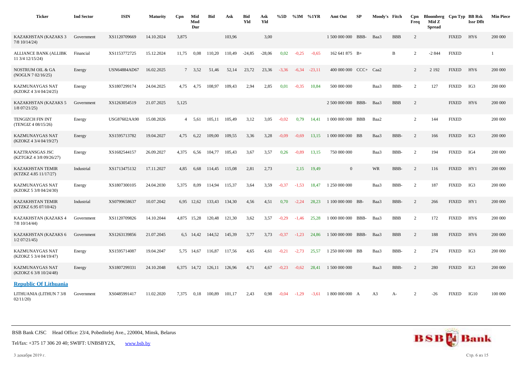| <b>Ticker</b>                                    | <b>Ind Sector</b> | <b>ISIN</b>  | <b>Maturity</b> | Cpn   | Mid<br>Mod<br>Dur | <b>Bid</b> | Ask    | <b>Bid</b><br>Yld | Ask<br>Yld | %5D     |         | %3M %1YR | Amt Out            | SP | Moody's Fitch  |            | Cpn<br>Freq    | Bloomberg Cpn Typ BB Rsk<br>Mid Z<br><b>Spread</b> |              | <b>Issr Dflt</b> | <b>Min Piece</b> |
|--------------------------------------------------|-------------------|--------------|-----------------|-------|-------------------|------------|--------|-------------------|------------|---------|---------|----------|--------------------|----|----------------|------------|----------------|----------------------------------------------------|--------------|------------------|------------------|
| KAZAKHSTAN (KAZAKS 3<br>$7/8$ 10/14/24)          | Government        | XS1120709669 | 14.10.2024      | 3,875 |                   |            | 103,96 |                   | 3,00       |         |         |          | 1 500 000 000 BBB- |    | Baa3           | <b>BBB</b> | $\overline{2}$ |                                                    | <b>FIXED</b> | HY <sub>6</sub>  | 200 000          |
| <b>ALLIANCE BANK (ALLIBK</b><br>11 3/4 12/15/24) | Financial         | XS1153772725 | 15.12.2024      | 11,75 | 0,08              | 110,20     | 110,49 | $-24,85$          | $-28,06$   | 0,02    | $-0,25$ | $-0.65$  | 162 641 875 B+     |    |                | B          | $\overline{2}$ | $-2844$                                            | <b>FIXED</b> |                  |                  |
| NOSTRUM OIL & GA<br>(NOGLN 7 02/16/25)           | Energy            | USN64884AD67 | 16.02.2025      |       | 7, 3, 52          | 51,46      | 52,14  | 23,72             | 23,36      | $-3,36$ | $-6,34$ | $-23,11$ | $400000000$ CCC+   |    | Caa2           |            | 2              | 2 1 9 2                                            | <b>FIXED</b> | HY <sub>6</sub>  | 200 000          |
| <b>KAZMUNAYGAS NAT</b><br>(KZOKZ 4 3/4 04/24/25) | Energy            | XS1807299174 | 24.04.2025      | 4,75  | 4,75              | 108,97     | 109,43 | 2,94              | 2,85       | 0,01    | $-0.35$ | 10,84    | 500 000 000        |    | Baa3           | BBB-       | $\overline{2}$ | 127                                                | <b>FIXED</b> | IG3              | 200 000          |
| KAZAKHSTAN (KAZAKS 5<br>$1/8$ 07/21/25)          | Government        | XS1263054519 | 21.07.2025      | 5,125 |                   |            |        |                   |            |         |         |          | 2 500 000 000 BBB- |    | Baa3           | <b>BBB</b> | 2              |                                                    | <b>FIXED</b> | HY <sub>6</sub>  | 200 000          |
| <b>TENGIZCH FIN INT</b><br>(TENGIZ 4 08/15/26)   | Energy            | USG87602AA90 | 15.08.2026      |       | 4 5.61            | 105,11     | 105,49 | 3,12              | 3,05       | $-0.02$ | 0,79    | 14,41    | 1 000 000 000 BBB  |    | Baa2           |            | $\overline{2}$ | 144                                                | <b>FIXED</b> |                  | 200 000          |
| <b>KAZMUNAYGAS NAT</b><br>(KZOKZ 4 3/4 04/19/27) | Energy            | XS1595713782 | 19.04.2027      | 4,75  | 6,22              | 109,00     | 109,55 | 3,36              | 3,28       | $-0.09$ | $-0.69$ | 13,15    | 1 000 000 000 BB   |    | Baa3           | BBB-       | $\overline{2}$ | 166                                                | <b>FIXED</b> | IG3              | 200 000          |
| KAZTRANSGAS JSC<br>(KZTGKZ 4 3/8 09/26/27)       | Energy            | XS1682544157 | 26.09.2027      | 4,375 | 6,56              | 104,77     | 105,43 | 3,67              | 3,57       | 0,26    | $-0.89$ | 13,15    | 750 000 000        |    | Baa3           | BBB-       | 2              | 194                                                | <b>FIXED</b> | IG4              | 200 000          |
| <b>KAZAKHSTAN TEMIR</b><br>(KTZKZ 4.85 11/17/27) | Industrial        | XS1713475132 | 17.11.2027      | 4,85  | 6,68              | 114,45     | 115,08 | 2,81              | 2,73       |         | 2,15    | 19,49    | $\overline{0}$     |    | <b>WR</b>      | BBB-       | 2              | 116                                                | <b>FIXED</b> | HY1              | 200 000          |
| <b>KAZMUNAYGAS NAT</b><br>(KZOKZ 5 3/8 04/24/30) | Energy            | XS1807300105 | 24.04.2030      | 5,375 | 8,09              | 114.94     | 115,37 | 3,64              | 3,59       | $-0,37$ | $-1,53$ | 18,47    | 1 250 000 000      |    | Baa3           | BBB-       | 2              | 187                                                | <b>FIXED</b> | IG3              | 200 000          |
| <b>KAZAKHSTAN TEMIR</b><br>(KTZKZ 6.95 07/10/42) | Industrial        | XS0799658637 | 10.07.2042      | 6.95  | 12,62             | 133,43     | 134,30 | 4,56              | 4,51       | 0.70    | $-2,24$ | 28,23    | 1 100 000 000 BB-  |    | Baa3           | BBB-       | 2              | 266                                                | <b>FIXED</b> | HY1              | 200 000          |
| KAZAKHSTAN (KAZAKS 4<br>$7/8$ 10/14/44)          | Government        | XS1120709826 | 14.10.2044      |       | 4,875 15,28       | 120,48     | 121,30 | 3,62              | 3,57       | $-0,29$ | $-1.46$ | 25,28    | 1 000 000 000 BBB- |    | Baa3           | <b>BBB</b> | $\overline{2}$ | 172                                                | <b>FIXED</b> | HY <sub>6</sub>  | 200 000          |
| KAZAKHSTAN (KAZAKS 6<br>$1/2$ 07/21/45)          | Government        | XS1263139856 | 21.07.2045      |       | 6.5 14.42         | 144,52     | 145,39 | 3,77              | 3,73       | $-0.37$ | $-1,23$ | 24.86    | 1 500 000 000 BBB- |    | Baa3           | <b>BBB</b> | 2              | 188                                                | <b>FIXED</b> | HY <sub>6</sub>  | 200 000          |
| KAZMUNAYGAS NAT<br>(KZOKZ 5 3/4 04/19/47)        | Energy            | XS1595714087 | 19.04.2047      | 5,75  | 14,67             | 116,87     | 117,56 | 4,65              | 4,61       | $-0,21$ | $-2,73$ | 25,57    | 1 250 000 000 BB   |    | Baa3           | BBB-       | 2              | 274                                                | <b>FIXED</b> | IG3              | 200 000          |
| <b>KAZMUNAYGAS NAT</b><br>(KZOKZ 6 3/8 10/24/48) | Energy            | XS1807299331 | 24.10.2048      | 6.375 | 14,72             | 126,11     | 126,96 | 4,71              | 4,67       | $-0,23$ | $-0.62$ | 28,41    | 1 500 000 000      |    | Baa3           | BBB-       | $\overline{c}$ | 280                                                | <b>FIXED</b> | IG3              | 200 000          |
| <b>Republic Of Lithuania</b>                     |                   |              |                 |       |                   |            |        |                   |            |         |         |          |                    |    |                |            |                |                                                    |              |                  |                  |
| LITHUANIA (LITHUN 7 3/8<br>02/11/20              | Government        | XS0485991417 | 11.02.2020      | 7,375 | 0,18              | 100,89     | 101,17 | 2,43              | 0,98       | $-0.04$ | $-1,29$ | $-3,61$  | 1 800 000 000 A    |    | A <sub>3</sub> | A-         | $\overline{c}$ | $-26$                                              | <b>FIXED</b> | IG10             | 100 000          |



Tel/fax: +375 17 306 20 40; SWIFT: UNBSBY2X, [www.bsb.by](https://www.bsb.by/)

3 декабря 2019 г. Стр. 6 из 15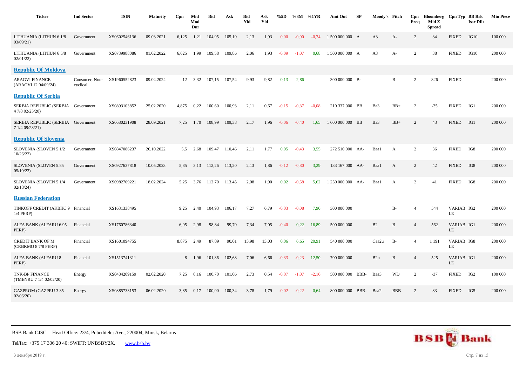| <b>Ticker</b>                                         | <b>Ind Sector</b>          | <b>ISIN</b>  | <b>Maturity</b> | Cpn   | Mid<br>Mod<br>Dur | Bid    | Ask    | Bid<br>Yld | Ask<br>Yld | %5D     | %3M     | %1YR    | Amt Out           | SP | Moody's Fitch  |              | Cpn<br>Freq    | Bloomberg Cpn Typ BB Rsk<br>Mid Z<br><b>Spread</b> |                         | <b>Issr Dflt</b> | <b>Min Piece</b> |
|-------------------------------------------------------|----------------------------|--------------|-----------------|-------|-------------------|--------|--------|------------|------------|---------|---------|---------|-------------------|----|----------------|--------------|----------------|----------------------------------------------------|-------------------------|------------------|------------------|
| LITHUANIA (LITHUN 6 1/8<br>03/09/21                   | Government                 | XS0602546136 | 09.03.2021      | 6,125 | 1,21              | 104,95 | 105,19 | 2,13       | 1,93       | 0.00    | $-0,90$ | $-0.74$ | 1 500 000 000 A   |    | A <sub>3</sub> | $A-$         | 2              | 34                                                 | <b>FIXED</b>            | IG10             | 100 000          |
| LITHUANIA (LITHUN 6 5/8<br>02/01/22                   | Government                 | XS0739988086 | 01.02.2022      | 6,625 | 1,99              | 109,58 | 109,86 | 2,06       | 1,93       | $-0.09$ | $-1.07$ | 0.68    | 1 500 000 000 A   |    | A <sub>3</sub> | A-           | 2              | 38                                                 | <b>FIXED</b>            | IG10             | 200 000          |
| <b>Republic Of Moldova</b>                            |                            |              |                 |       |                   |        |        |            |            |         |         |         |                   |    |                |              |                |                                                    |                         |                  |                  |
| <b>ARAGVI FINANCE</b><br>(ARAGVI 12 04/09/24)         | Consumer, Non-<br>cyclical | XS1960552823 | 09.04.2024      |       | 12 3,32           | 107,15 | 107,54 | 9,93       | 9,82       | 0,13    | 2,86    |         | 300 000 000 B-    |    |                | B            | $\overline{2}$ | 826                                                | <b>FIXED</b>            |                  | 200 000          |
| <b>Republic Of Serbia</b>                             |                            |              |                 |       |                   |        |        |            |            |         |         |         |                   |    |                |              |                |                                                    |                         |                  |                  |
| SERBIA REPUBLIC (SERBIA Government<br>4 7/8 02/25/20) |                            | XS0893103852 | 25.02.2020      | 4,875 | 0,22              | 100,60 | 100,93 | 2,11       | 0,67       | $-0,15$ | $-0,37$ | $-0.08$ | 210 337 000 BB    |    | Ba3            | $BB+$        | $\overline{2}$ | $-35$                                              | <b>FIXED</b>            | IG1              | 200 000          |
| SERBIA REPUBLIC (SERBIA Government<br>7 1/4 09/28/21) |                            | XS0680231908 | 28.09.2021      | 7,25  | 1,70              | 108,99 | 109,38 | 2,17       | 1,96       | $-0.06$ | $-0.40$ | 1.65    | 1 600 000 000 BB  |    | Ba3            | $BB+$        | 2              | 43                                                 | <b>FIXED</b>            | IG1              | 200 000          |
| <b>Republic Of Slovenia</b>                           |                            |              |                 |       |                   |        |        |            |            |         |         |         |                   |    |                |              |                |                                                    |                         |                  |                  |
| SLOVENIA (SLOVEN 5 1/2<br>10/26/22                    | Government                 | XS0847086237 | 26.10.2022      | 5,5   | 2,68              | 109,47 | 110,46 | 2,11       | 1,77       | 0,05    | $-0,43$ | 3,55    | 272 510 000 AA-   |    | Baa1           | A            | $\overline{2}$ | 36                                                 | <b>FIXED</b>            | IG8              | 200 000          |
| SLOVENIA (SLOVEN 5.85<br>05/10/23                     | Government                 | XS0927637818 | 10.05.2023      | 5,85  | 3,13              | 112,26 | 113,20 | 2,13       | 1,86       | $-0,12$ | $-0,80$ | 3,29    | 133 167 000 AA-   |    | Baa1           | A            | $\overline{c}$ | 42                                                 | <b>FIXED</b>            | IG8              | 200 000          |
| SLOVENIA (SLOVEN 5 1/4<br>02/18/24                    | Government                 | XS0982709221 | 18.02.2024      | 5,25  | 3,76              | 112,70 | 113,45 | 2,08       | 1,90       | 0,02    | $-0.58$ | 5,62    | 1 250 000 000 AA- |    | Baa1           | $\mathbf{A}$ | 2              | 41                                                 | <b>FIXED</b>            | IG8              | 200 000          |
| <b>Russian Federation</b>                             |                            |              |                 |       |                   |        |        |            |            |         |         |         |                   |    |                |              |                |                                                    |                         |                  |                  |
| TINKOFF CREDIT (AKBHC 9 Financial<br>$1/4$ PERP)      |                            | XS1631338495 |                 | 9.25  | 2,40              | 104,93 | 106,17 | 7,27       | 6,79       | $-0.03$ | $-0.08$ | 7,90    | 300 000 000       |    |                | <b>B-</b>    | $\overline{4}$ | 544                                                | VARIAB IG2<br>LE        |                  | 200 000          |
| ALFA BANK (ALFARU 6.95<br>PERP)                       | Financial                  | XS1760786340 |                 | 6,95  | 2,98              | 98,84  | 99,70  | 7,34       | 7,05       | $-0.40$ | 0,22    | 16,89   | 500 000 000       |    | B2             | $\, {\bf B}$ | $\overline{4}$ | 562                                                | VARIAB IG1<br>LE        |                  | 200 000          |
| <b>CREDIT BANK OF M</b><br>(CRBKMO 8 7/8 PERP)        | Financial                  | XS1601094755 |                 | 8.875 | 2,49              | 87,89  | 90,01  | 13,98      | 13,03      | 0,06    | 6,65    | 20,91   | 540 000 000       |    | Caa2u          | $B-$         | $\overline{4}$ | 1 1 9 1                                            | VARIAB IG8<br>LE        |                  | 200 000          |
| ALFA BANK (ALFARU 8<br>PERP)                          | Financial                  | XS1513741311 |                 |       | 8 1,96            | 101,86 | 102,68 | 7,06       | 6,66       | $-0,33$ | $-0,23$ | 12,50   | 700 000 000       |    | B2u            | B            | $\overline{4}$ | 525                                                | VARIAB IG1<br><b>LE</b> |                  | 200 000          |
| <b>TNK-BP FINANCE</b><br>(TMENRU 7 1/4 02/02/20)      | Energy                     | XS0484209159 | 02.02.2020      | 7,25  | 0,16              | 100,70 | 101,06 | 2,73       | 0,54       | $-0.07$ | $-1,07$ | $-2,16$ | 500 000 000 BBB-  |    | Baa3           | <b>WD</b>    | 2              | $-37$                                              | <b>FIXED</b>            | IG <sub>2</sub>  | 100 000          |
| <b>GAZPROM (GAZPRU 3.85</b><br>02/06/20               | Energy                     | XS0885733153 | 06.02.2020      | 3.85  | 0.17              | 100,00 | 100.34 | 3.78       | 1,79       | $-0.02$ | $-0,22$ | 0,64    | 800 000 000 BBB-  |    | Baa2           | <b>BBB</b>   | 2              | 83                                                 | <b>FIXED</b>            | IG5              | 200 000          |



Tel/fax: +375 17 306 20 40; SWIFT: UNBSBY2X, [www.bsb.by](https://www.bsb.by/)

3 декабря 2019 г. Стр. 7 из 15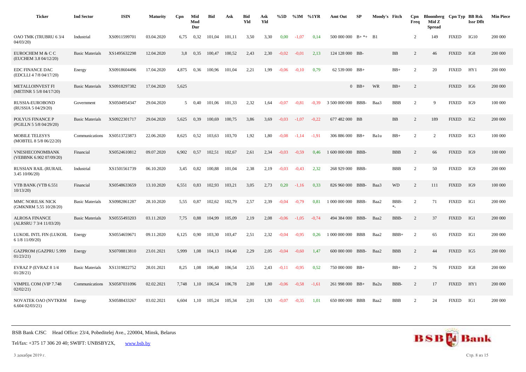| <b>Ticker</b>                                      | <b>Ind Sector</b>      | <b>ISIN</b>  | <b>Maturity</b> | Cpn            | Mid<br>Mod<br>Dur | <b>Bid</b> | Ask    | <b>Bid</b><br>Yld | Ask<br>Yld | %5D     | %3M     | %1YR    | Amt Out            | SP         | Moody's Fitch    |                   | Cpn<br>Freq    | Bloomberg Cpn Typ BB Rsk<br>Mid Z<br><b>Spread</b> |              | <b>Issr Dflt</b> | <b>Min Piece</b> |
|----------------------------------------------------|------------------------|--------------|-----------------|----------------|-------------------|------------|--------|-------------------|------------|---------|---------|---------|--------------------|------------|------------------|-------------------|----------------|----------------------------------------------------|--------------|------------------|------------------|
| OAO TMK (TRUBRU 63/4<br>04/03/20                   | Industrial             | XS0911599701 | 03.04.2020      | 6,75           | 0,32              | 101,04     | 101,11 | 3,50              | 3,30       | 0,00    | $-1.07$ | 0,14    | 500 000 000        | $B+ * +$   | <b>B1</b>        |                   | $\overline{c}$ | 149                                                | <b>FIXED</b> | IG10             | 200 000          |
| EUROCHEM M & C C<br>(EUCHEM 3.8 04/12/20)          | <b>Basic Materials</b> | XS1495632298 | 12.04.2020      | 3.8            | 0,35              | 100.47     | 100,52 | 2,43              | 2,30       | $-0.02$ | $-0.01$ | 2,13    | 124 128 000 BB-    |            |                  | <b>BB</b>         | $\overline{2}$ | 46                                                 | <b>FIXED</b> | IG8              | 200 000          |
| <b>EDC FINANCE DAC</b><br>(EDCLLI 4 7/8 04/17/20)  | Energy                 | XS0918604496 | 17.04.2020      | 4,875          | 0,36              | 100,96     | 101,04 | 2,21              | 1,99       | $-0.06$ | $-0,10$ | 0,79    | 62 539 000 BB+     |            |                  | $BB+$             | 2              | 20                                                 | <b>FIXED</b> | HY1              | 200 000          |
| <b>METALLOINVEST FI</b><br>(METINR 5 5/8 04/17/20) | <b>Basic Materials</b> | XS0918297382 | 17.04.2020      | 5,625          |                   |            |        |                   |            |         |         |         |                    | $0$ BB+    | WR               | $BB+$             | $\overline{2}$ |                                                    | <b>FIXED</b> | IG6              | 200 000          |
| RUSSIA-EUROBOND<br>(RUSSIA 5 04/29/20)             | Government             | XS0504954347 | 29.04.2020      | 5 <sup>5</sup> | 0,40              | 101,06     | 101,33 | 2,32              | 1,64       | $-0.07$ | $-0.81$ | $-0.39$ | 3 500 000 000      | BBB-       | Baa3             | <b>BBB</b>        | $\overline{2}$ | 9                                                  | <b>FIXED</b> | IG9              | 100 000          |
| POLYUS FINANCE P<br>(PGILLN 5 5/8 04/29/20)        | <b>Basic Materials</b> | XS0922301717 | 29.04.2020      | 5,625          | 0,39              | 100,69     | 100,75 | 3,86              | 3,69       | $-0.03$ | $-1.07$ | $-0,22$ | 677 482 000 BB     |            |                  | <b>BB</b>         | 2              | 189                                                | <b>FIXED</b> | IG <sub>2</sub>  | 200 000          |
| <b>MOBILE TELESYS</b><br>(MOBTEL 8 5/8 06/22/20)   | Communications         | XS0513723873 | 22.06.2020      | 8,625          | 0,52              | 103,63     | 103,70 | 1,92              | 1,80       | $-0.08$ | $-1.14$ | $-1,91$ | 306 886 000 BB+    |            | Balu             | $BB+$             | $\overline{2}$ | 2                                                  | <b>FIXED</b> | IG3              | 100 000          |
| VNESHECONOMBANK<br>(VEBBNK 6.902 07/09/20)         | Financial              | XS0524610812 | 09.07.2020      | 6,902          | 0,57              | 102,51     | 102,67 | 2,61              | 2,34       | $-0.03$ | $-0.59$ | 0,46    | 1 600 000 000 BBB- |            |                  | <b>BBB</b>        | $\overline{2}$ | 66                                                 | <b>FIXED</b> | IG9              | 100 000          |
| RUSSIAN RAIL (RURAIL<br>3.45 10/06/20)             | Industrial             | XS1501561739 | 06.10.2020      | 3,45           | 0,82              | 100,88     | 101,04 | 2,38              | 2,19       | $-0.03$ | $-0,43$ | 2,32    | 268 929 000 BBB-   |            |                  | <b>BBB</b>        | 2              | 50                                                 | <b>FIXED</b> | IG9              | 200 000          |
| VTB BANK (VTB 6.551<br>10/13/20                    | Financial              | XS0548633659 | 13.10.2020      | 6,551          | 0,83              | 102,93     | 103,21 | 3,05              | 2,73       | 0,20    | $-1,16$ | 0,33    | 826 960 000 BBB-   |            | Baa3             | <b>WD</b>         | $\overline{2}$ | 111                                                | <b>FIXED</b> | IG9              | 100 000          |
| MMC NORILSK NICK<br>(GMKNRM 5.55 10/28/20)         | <b>Basic Materials</b> | XS0982861287 | 28.10.2020      | 5,55           | 0,87              | 102,62     | 102,79 | 2,57              | 2,39       | $-0.04$ | $-0,79$ | 0.81    | 1 000 000 000      | BBB-       | Baa2             | <b>BBB</b><br>$*$ | 2              | 71                                                 | <b>FIXED</b> | IG1              | 200 000          |
| <b>ALROSA FINANCE</b><br>(ALRSRU 7 3/4 11/03/20)   | <b>Basic Materials</b> | XS0555493203 | 03.11.2020      | 7,75           | 0,88              | 104,99     | 105,09 | 2,19              | 2,08       | $-0.06$ | $-1,05$ | $-0,74$ | 494 384 000        | BBB-       | Baa2             | BBB-              | 2              | 37                                                 | <b>FIXED</b> | IG1              | 200 000          |
| LUKOIL INTL FIN (LUKOIL<br>6 1/8 11/09/20)         | Energy                 | XS0554659671 | 09.11.2020      | 6,125          | 0,90              | 103,30     | 103,47 | 2,51              | 2,32       | $-0.04$ | $-0.95$ | 0,26    | 1 000 000 000      | BBB        | Baa2             | $BBB+$            | 2              | 65                                                 | <b>FIXED</b> | IG1              | 200 000          |
| GAZPROM (GAZPRU 5.999<br>01/23/21                  | Energy                 | XS0708813810 | 23.01.2021      | 5,999          | 1,08              | 104,13     | 104,40 | 2,29              | 2,05       | $-0.04$ | $-0,60$ | 1,47    | 600 000 000 BBB-   |            | Baa2             | <b>BBB</b>        | $\overline{c}$ | 44                                                 | <b>FIXED</b> | IG5              | 200 000          |
| EVRAZ P (EVRAZ 8 1/4<br>01/28/21                   | <b>Basic Materials</b> | XS1319822752 | 28.01.2021      | 8,25           | 1,08              | 106,40     | 106,54 | 2,55              | 2,43       | $-0,11$ | $-0.95$ | 0,52    | 750 000 000 BB+    |            |                  | $BB+$             | 2              | 76                                                 | <b>FIXED</b> | IG8              | 200 000          |
| VIMPEL COM (VIP 7.748<br>02/02/21                  | Communications         | XS0587031096 | 02.02.2021      | 7,748          | 1,10              | 106,54     | 106,78 | 2,00              | 1,80       | $-0.06$ | $-0.58$ | $-1,61$ | 261 998 000 BB+    |            | Ba <sub>2u</sub> | BBB-              | $\overline{2}$ | 17                                                 | <b>FIXED</b> | HY1              | 200 000          |
| NOVATEK OAO (NVTKRM<br>6.60402/03/21               | Energy                 | XS0588433267 | 03.02.2021      | 6.604          | 1.10              | 105,24     | 105,34 | 2,01              | 1.93       | $-0.07$ | $-0.35$ | 1.01    | 650 000 000        | <b>BBB</b> | Baa2             | <b>BBB</b>        | $\overline{c}$ | 24                                                 | <b>FIXED</b> | IG1              | 200 000          |

Tel/fax: +375 17 306 20 40; SWIFT: UNBSBY2X, [www.bsb.by](https://www.bsb.by/)

3 декабря 2019 г. Стр. 8 из 15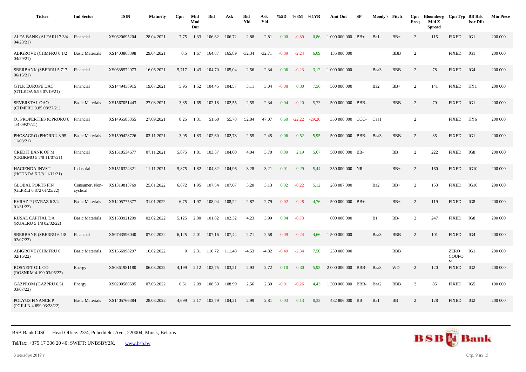| <b>Ticker</b>                                      | <b>Ind Sector</b>          | <b>ISIN</b>  | <b>Maturity</b> | Cpn            | Mid<br>Mod<br>Dur | <b>Bid</b> | Ask    | <b>Bid</b><br>Yld | Ask<br>Yld | %5D     | %3M      | %1YR     | Amt Out            | SP | Moody's Fitch |            | Cpn<br>Freq    | Bloomberg Cpn Typ BB Rsk<br>Mid Z<br><b>Spread</b> |                                             | <b>Issr Dflt</b> | <b>Min Piece</b> |
|----------------------------------------------------|----------------------------|--------------|-----------------|----------------|-------------------|------------|--------|-------------------|------------|---------|----------|----------|--------------------|----|---------------|------------|----------------|----------------------------------------------------|---------------------------------------------|------------------|------------------|
| ALFA BANK (ALFARU 7 3/4<br>04/28/21                | Financial                  | XS0620695204 | 28.04.2021      | 7,75           | 1,33              | 106,62     | 106.72 | 2,88              | 2,81       | 0.00    | $-0.89$  | 0.86     | 1 000 000 000 BB+  |    | Ba1           | $BB+$      | 2              | 115                                                | <b>FIXED</b>                                | IG1              | 200 000          |
| <b>ABIGROVE (CHMFRU 0 1/2</b><br>04/29/21          | <b>Basic Materials</b>     | XS1403868398 | 29.04.2021      | 0,5            | 1,67              | 164.87     | 165,89 | $-32,34$          | $-32,71$   | $-0.89$ | $-2,24$  | 6,09     | 135 000 000        |    |               | <b>BBB</b> | 2              |                                                    | <b>FIXED</b>                                | IG1              | 200 000          |
| SBERBANK (SBERRU 5.717<br>06/16/21                 | Financial                  | XS0638572973 | 16.06.2021      | 5,717          | 1,43              | 104,70     | 105,04 | 2,56              | 2,34       | 0,06    | $-0,23$  | 3,12     | 1 000 000 000      |    | Baa3          | <b>BBB</b> | 2              | 78                                                 | <b>FIXED</b>                                | IG4              | 200 000          |
| <b>GTLK EUROPE DAC</b><br>(GTLKOA 5.95 07/19/21)   | Financial                  | XS1449458915 | 19.07.2021      | 5,95           | 1,52              | 104,45     | 104,57 | 3,11              | 3,04       | $-0,08$ | 0,30     | 7,56     | 500 000 000        |    | Ba2           | $BB+$      | $\overline{c}$ | 141                                                | <b>FIXED</b>                                | HY1              | 200 000          |
| <b>SEVERSTAL OAO</b><br>(CHMFRU 3.85 08/27/21)     | <b>Basic Materials</b>     | XS1567051443 | 27.08.2021      | 3.85           | 1,65              | 102.18     | 102.55 | 2,55              | 2,34       | 0,04    | $-0.20$  | 5.73     | 500 000 000 BBB    |    |               | <b>BBB</b> | 2              | 79                                                 | <b>FIXED</b>                                | IG1              | 200 000          |
| <b>O1 PROPERTIES (OPRORU 8</b><br>$1/4$ 09/27/21)  | Financial                  | XS1495585355 | 27.09.2021      | 8.25           | 1,31              | 51,60      | 55,78  | 52,84             | 47,07      | 0,60    | $-22,22$ | $-29.20$ | 350 000 000 CCC-   |    | Caal          |            | 2              |                                                    | <b>FIXED</b>                                | HY <sub>6</sub>  | 200 000          |
| PHOSAGRO (PHORRU 3.95<br>11/03/21                  | <b>Basic Materials</b>     | XS1599428726 | 03.11.2021      | 3,95           | 1,83              | 102,60     | 102,78 | 2,55              | 2,45       | 0,06    | 0,52     | 5,95     | 500 000 000 BBB-   |    | Baa3          | BBB-       | 2              | 85                                                 | <b>FIXED</b>                                | IG1              | 200 000          |
| CREDIT BANK OF M<br>(CRBKMO 5 7/8 11/07/21)        | Financial                  | XS1510534677 | 07.11.2021      | 5,875          | 1,81              | 103,37     | 104,00 | 4,04              | 3,70       | 0,09    | 2,19     | 5,67     | 500 000 000 BB-    |    |               | BB         | $\overline{c}$ | 222                                                | <b>FIXED</b>                                | IG8              | 200 000          |
| <b>HACIENDA INVST</b><br>(HCDNDA 5 7/8 11/11/21)   | Industrial                 | XS1516324321 | 11.11.2021      | 5,875          | 1,82              | 104,82     | 104,96 | 3,28              | 3,21       | 0,01    | 0,29     | 5,44     | 350 000 000 NR     |    |               | $BB+$      | 2              | 160                                                | <b>FIXED</b>                                | IG10             | 200 000          |
| <b>GLOBAL PORTS FIN</b><br>(GLPRLI 6.872 01/25/22) | Consumer, Non-<br>cyclical | XS1319813769 | 25.01.2022      | 6,872          | 1,95              | 107.54     | 107,67 | 3,20              | 3,13       | 0,02    | $-0,22$  | 5,12     | 283 087 000        |    | Ba2           | $BB+$      | $\overline{2}$ | 153                                                | <b>FIXED</b>                                | IG10             | 200 000          |
| EVRAZ P (EVRAZ 6 3/4<br>01/31/22                   | <b>Basic Materials</b>     | XS1405775377 | 31.01.2022      | 6.75           | 1,97              | 108.04     | 108,22 | 2,87              | 2,79       | $-0.02$ | $-0.28$  | 4.76     | 500 000 000 BB+    |    |               | $BB+$      | 2              | 119                                                | <b>FIXED</b>                                | IG8              | 200 000          |
| RUSAL CAPITAL DA<br>(RUALRU 5 1/8 02/02/22)        | <b>Basic Materials</b>     | XS1533921299 | 02.02.2022      | 5,125          | 2,00              | 101,82     | 102,32 | 4,23              | 3,99       | 0,04    | $-0,73$  |          | 600 000 000        |    | B1            | BB-        | 2              | 247                                                | <b>FIXED</b>                                | IG8              | 200 000          |
| SBERBANK (SBERRU 61/8<br>02/07/22                  | Financial                  | XS0743596040 | 07.02.2022      | 6,125          | 2,01              | 107,16     | 107,44 | 2,71              | 2,58       | $-0.09$ | $-0,24$  | 4,66     | 1 500 000 000      |    | Baa3          | <b>BBB</b> | $\overline{c}$ | 101                                                | <b>FIXED</b>                                | IG4              | 200 000          |
| ABIGROVE (CHMFRU 0<br>02/16/22                     | <b>Basic Materials</b>     | XS1566998297 | 16.02.2022      | $\overline{0}$ | 2.31              | 110.72     | 111.48 | $-4,53$           | $-4,82$    | $-0.49$ | $-2,34$  | 7,50     | 250 000 000        |    |               | <b>BBB</b> |                |                                                    | <b>ZERO</b><br><b>COUPO</b><br>$\mathbf{M}$ | IG1              | 200 000          |
| ROSNEFT OIL CO<br>(ROSNRM 4.199 03/06/22)          | Energy                     | XS0861981180 | 06.03.2022      | 4,199          | 2,12              | 102,75     | 103,21 | 2,93              | 2,72       | 0,10    | 0,30     | 5,93     | 2 000 000 000 BBB- |    | Baa3          | <b>WD</b>  | 2              | 120                                                | <b>FIXED</b>                                | IG <sub>2</sub>  | 200 000          |
| <b>GAZPROM (GAZPRU 6.51</b><br>03/07/22            | Energy                     | XS0290580595 | 07.03.2022      | 6,51           | 2,09              | 108,59     | 108,99 | 2,56              | 2,39       | $-0.01$ | $-0,26$  | 4.43     | 1 300 000 000 BBB- |    | Baa2          | <b>BBB</b> | $\overline{c}$ | 85                                                 | <b>FIXED</b>                                | IG5              | 100 000          |
| POLYUS FINANCE P<br>(PGILLN 4.699 03/28/22)        | <b>Basic Materials</b>     | XS1405766384 | 28.03.2022      | 4,699          | 2,17              | 103,79     | 104,21 | 2,99              | 2,81       | 0,03    | 0,13     | 8,32     | 482 806 000 BB     |    | Ba1           | BB         | 2              | 128                                                | <b>FIXED</b>                                | IG <sub>2</sub>  | 200 000          |



3 декабря 2019 г. Стр. 9 из 15

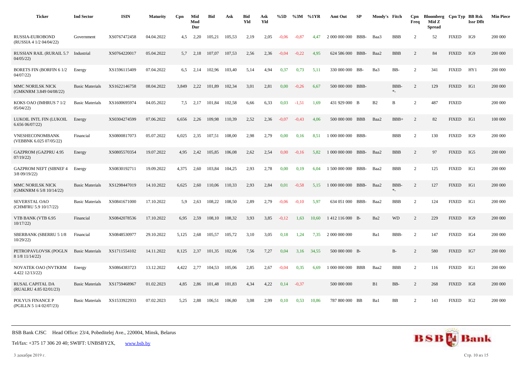| <b>Ticker</b>                                  | <b>Ind Sector</b>      | <b>ISIN</b>  | <b>Maturity</b> | Cpn   | Mid<br>Mod<br>Dur | <b>Bid</b> | Ask    | <b>Bid</b><br>Yld | Ask<br>Yld | %5D     | %3M %1YR |       | Amt Out            | SP   | Moody's Fitch |             | Cpn<br>Freq    | Bloomberg Cpn Typ BB Rsk<br>Mid Z<br><b>Spread</b> |              | <b>Issr Dflt</b> | <b>Min Piece</b> |
|------------------------------------------------|------------------------|--------------|-----------------|-------|-------------------|------------|--------|-------------------|------------|---------|----------|-------|--------------------|------|---------------|-------------|----------------|----------------------------------------------------|--------------|------------------|------------------|
| RUSSIA-EUROBOND<br>(RUSSIA 4 1/2 04/04/22)     | Government             | XS0767472458 | 04.04.2022      | 4,5   | 2,20              | 105,21     | 105,53 | 2,19              | 2,05       | $-0.06$ | $-0.87$  | 4.47  | 2 000 000 000      | BBB- | Baa3          | <b>BBB</b>  | $\overline{c}$ | 52                                                 | <b>FIXED</b> | IG9              | 200 000          |
| <b>RUSSIAN RAIL (RURAIL 5.7</b><br>04/05/22    | Industrial             | XS0764220017 | 05.04.2022      | 5,7   | 2,18              | 107,07     | 107,53 | 2,56              | 2,36       | $-0.04$ | $-0,22$  | 4,95  | 624 586 000 BBB-   |      | Baa2          | <b>BBB</b>  | $\overline{2}$ | 84                                                 | <b>FIXED</b> | IG9              | 200 000          |
| <b>BORETS FIN (BORFIN 6 1/2)</b><br>04/07/22   | Energy                 | XS1596115409 | 07.04.2022      | 6.5   | 2.14              | 102,96     | 103,40 | 5,14              | 4,94       | 0,37    | 0,73     | 5,11  | 330 000 000 BB-    |      | Ba3           | BB-         | 2              | 341                                                | <b>FIXED</b> | HY1              | 200 000          |
| MMC NORILSK NICK<br>(GMKNRM 3.849 04/08/22)    | <b>Basic Materials</b> | XS1622146758 | 08.04.2022      | 3,849 | 2,22              | 101,89     | 102,34 | 3,01              | 2,81       | 0,00    | $-0,26$  | 6,67  | 500 000 000 BBB-   |      |               | BBB-<br>$*$ | 2              | 129                                                | <b>FIXED</b> | IG1              | 200 000          |
| KOKS OAO (IMHRUS 7 1/2<br>05/04/22             | <b>Basic Materials</b> | XS1600695974 | 04.05.2022      | 7.5   | 2,17              | 101,84     | 102,58 | 6,66              | 6,33       | 0,03    | $-1,51$  | 1,69  | 431 929 000 B      |      | B2            | B           | $\overline{2}$ | 487                                                | <b>FIXED</b> |                  | 200 000          |
| LUKOIL INTL FIN (LUKOIL<br>6.65606/07/22       | Energy                 | XS0304274599 | 07.06.2022      | 6,656 | 2,26              | 109.98     | 110,39 | 2,52              | 2,36       | $-0.07$ | $-0,43$  | 4.06  | 500 000 000 BBB    |      | Baa2          | $BBB+$      | 2              | 82                                                 | <b>FIXED</b> | IG1              | 100 000          |
| VNESHECONOMBANK<br>(VEBBNK 6.025 07/05/22)     | Financial              | XS0800817073 | 05.07.2022      | 6,025 | 2,35              | 107,51     | 108,00 | 2,98              | 2,79       | 0,00    | 0,16     | 8,51  | 1 000 000 000 BBB- |      |               | <b>BBB</b>  | $\overline{c}$ | 130                                                | <b>FIXED</b> | IG9              | 200 000          |
| <b>GAZPROM (GAZPRU 4.95</b><br>07/19/22        | Energy                 | XS0805570354 | 19.07.2022      | 4.95  | 2,42              | 105,85     | 106.08 | 2.62              | 2,54       | 0.00    | $-0.16$  | 5.82  | 1 000 000 000 BBB- |      | Baa2          | <b>BBB</b>  | 2              | 97                                                 | <b>FIXED</b> | IG5              | 200 000          |
| <b>GAZPROM NEFT (SIBNEF 4</b><br>3/8 09/19/22) | Energy                 | XS0830192711 | 19.09.2022      | 4,375 | 2,60              | 103,84     | 104,25 | 2,93              | 2,78       | 0,00    | 0,19     | 6,04  | 1 500 000 000 BBB- |      | Baa2          | <b>BBB</b>  | $\overline{2}$ | 125                                                | <b>FIXED</b> | IG1              | 200 000          |
| MMC NORILSK NICK<br>(GMKNRM 6 5/8 10/14/22)    | <b>Basic Materials</b> | XS1298447019 | 14.10.2022      | 6,625 | 2,60              | 110,06     | 110,33 | 2,93              | 2,84       | 0,01    | $-0.58$  | 5,15  | 1 000 000 000 BBB- |      | Baa2          | BBB-<br>$*$ | $\overline{c}$ | 127                                                | <b>FIXED</b> | IG1              | 200 000          |
| <b>SEVERSTAL OAO</b><br>(CHMFRU 5.9 10/17/22)  | <b>Basic Materials</b> | XS0841671000 | 17.10.2022      | 5.9   | 2,63              | 108,22     | 108,50 | 2,89              | 2,79       | $-0.06$ | $-0.10$  | 5.97  | 634 051 000 BBB-   |      | Baa2          | <b>BBB</b>  | 2              | 124                                                | <b>FIXED</b> | IG1              | 200 000          |
| VTB BANK (VTB 6.95<br>10/17/22                 | Financial              | XS0842078536 | 17.10.2022      | 6,95  | 2,59              | 108,10     | 108,32 | 3,93              | 3,85       | $-0,12$ | 1,63     | 10,60 | 1412 116 000 B-    |      | Ba2           | <b>WD</b>   | $\overline{c}$ | 229                                                | <b>FIXED</b> | IG9              | 200 000          |
| <b>SBERBANK (SBERRU 5 1/8</b><br>10/29/22      | Financial              | XS0848530977 | 29.10.2022      | 5.125 | 2,68              | 105.57     | 105,72 | 3,10              | 3,05       | 0,18    | 1.24     | 7.35  | 2 000 000 000      |      | Ba1           | BBB-        | 2              | 147                                                | <b>FIXED</b> | IG4              | 200 000          |
| PETROPAVLOVSK (POGLN<br>8 1/8 11/14/22)        | <b>Basic Materials</b> | XS1711554102 | 14.11.2022      | 8,125 | 2,37              | 101,35     | 102,06 | 7,56              | 7,27       | 0,04    | 3,16     | 34,55 | 500 000 000 B-     |      |               | $B-$        | $\overline{c}$ | 580                                                | <b>FIXED</b> | IG7              | 200 000          |
| NOVATEK OAO (NVTKRM<br>4.422 12/13/22)         | Energy                 | XS0864383723 | 13.12.2022      | 4,422 | 2,77              | 104,53     | 105,06 | 2,85              | 2,67       | $-0.04$ | 0,35     | 6,69  | 1 000 000 000 BBB  |      | Baa2          | <b>BBB</b>  | $\overline{2}$ | 116                                                | <b>FIXED</b> | IG1              | 200 000          |
| RUSAL CAPITAL DA<br>(RUALRU 4.85 02/01/23)     | <b>Basic Materials</b> | XS1759468967 | 01.02.2023      | 4.85  | 2,86              | 101,48     | 101,83 | 4,34              | 4,22       | 0,14    | $-0.37$  |       | 500 000 000        |      | B1            | BB-         | 2              | 268                                                | <b>FIXED</b> | IG8              | 200 000          |
| POLYUS FINANCE P<br>(PGILLN 5 1/4 02/07/23)    | <b>Basic Materials</b> | XS1533922933 | 07.02.2023      | 5,25  | 2,88              | 106,51     | 106,80 | 3,08              | 2,99       | 0,10    | 0.53     | 10,86 | 787 800 000 BB     |      | Ba1           | BB          | $\overline{c}$ | 143                                                | <b>FIXED</b> | IG <sub>2</sub>  | 200 000          |

Tel/fax: +375 17 306 20 40; SWIFT: UNBSBY2X, [www.bsb.by](https://www.bsb.by/)

3 декабря 2019 г. Стр. 10 из 15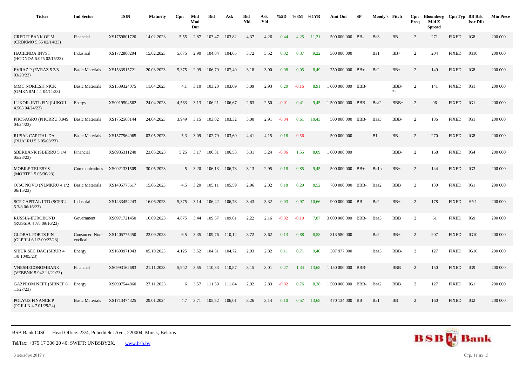| <b>Ticker</b>                                       | <b>Ind Sector</b>          | <b>ISIN</b>  | <b>Maturity</b> | Cpn   | Mid<br>Mod<br>Dur | <b>Bid</b> | Ask    | <b>Bid</b><br>Yld | Ask<br>Yld | %5D     | %3M     | %1YR  | Amt Out            | SP   | Moody's Fitch |                  | Cpn<br>Freq    | Bloomberg Cpn Typ BB Rsk<br>Mid Z<br><b>Spread</b> |              | <b>Issr Dflt</b> | <b>Min Piece</b> |
|-----------------------------------------------------|----------------------------|--------------|-----------------|-------|-------------------|------------|--------|-------------------|------------|---------|---------|-------|--------------------|------|---------------|------------------|----------------|----------------------------------------------------|--------------|------------------|------------------|
| <b>CREDIT BANK OF M</b><br>(CRBKMO 5.55 02/14/23)   | Financial                  | XS1759801720 | 14.02.2023      | 5,55  | 2,87              | 103,47     | 103,82 | 4,37              | 4,26       | 0,44    | 4.25    | 11,21 | 500 000 000 BB-    |      | Ba3           | BB               | 2              | 271                                                | <b>FIXED</b> | IG8              | 200 000          |
| <b>HACIENDA INVST</b><br>(HCDNDA 5.075 02/15/23)    | Industrial                 | XS1772800204 | 15.02.2023      | 5,075 | 2,90              | 104,04     | 104,65 | 3,72              | 3,52       | 0,02    | 0,37    | 9,22  | 300 000 000        |      | Ba1           | $BB+$            | 2              | 204                                                | <b>FIXED</b> | IG10             | 200 000          |
| EVRAZ P (EVRAZ 5 3/8<br>03/20/23                    | <b>Basic Materials</b>     | XS1533915721 | 20.03.2023      | 5,375 | 2,99              | 106,79     | 107,40 | 3,18              | 3,00       | 0,08    | 0,05    | 8,49  | 750 000 000 BB+    |      | Ba2           | $BB+$            | 2              | 149                                                | <b>FIXED</b> | IG8              | 200 000          |
| MMC NORILSK NICK<br>(GMKNRM 4.1 04/11/23)           | <b>Basic Materials</b>     | XS1589324075 | 11.04.2023      | 4,1   | 3,10              | 103,20     | 103,69 | 3,09              | 2,93       | 0,20    | $-0,16$ | 8,91  | 1 000 000 000 BBB- |      |               | BBB-<br>$\ast_-$ | 2              | 141                                                | <b>FIXED</b> | IG1              | 200 000          |
| LUKOIL INTL FIN (LUKOIL<br>4.563 04/24/23)          | Energy                     | XS0919504562 | 24.04.2023      | 4.563 | 3,13              | 106,21     | 106,67 | 2,63              | 2,50       | $-0.01$ | 0,41    | 9.45  | 1 500 000 000 BBB  |      | Baa2          | $BBB+$           | 2              | 96                                                 | <b>FIXED</b> | IG1              | 200 000          |
| PHOSAGRO (PHORRU 3.949<br>04/24/23                  | <b>Basic Materials</b>     | XS1752568144 | 24.04.2023      | 3,949 | 3,15              | 103,02     | 103,32 | 3,00              | 2,91       | $-0,04$ | 0,61    | 10,43 | 500 000 000 BBB-   |      | Baa3          | BBB-             | 2              | 136                                                | <b>FIXED</b> | IG1              | 200 000          |
| RUSAL CAPITAL DA<br>(RUALRU 5.3 05/03/23)           | <b>Basic Materials</b>     | XS1577964965 | 03.05.2023      | 5.3   | 3,09              | 102,79     | 103,60 | 4,41              | 4,15       | 0,18    | $-0,56$ |       | 500 000 000        |      | B1            | BB-              | 2              | 270                                                | <b>FIXED</b> | IG8              | 200 000          |
| SBERBANK (SBERRU 5 1/4<br>05/23/23                  | Financial                  | XS0935311240 | 23.05.2023      | 5,25  | 3,17              | 106,31     | 106,53 | 3,31              | 3,24       | $-0.06$ | 1,55    | 8,09  | 1 000 000 000      |      |               | BBB-             | $\overline{c}$ | 168                                                | <b>FIXED</b> | IG4              | 200 000          |
| <b>MOBILE TELESYS</b><br>(MOBTEL 5 05/30/23)        | Communications             | XS0921331509 | 30.05.2023      |       | $5 \quad 3.20$    | 106,13     | 106,73 | 3,13              | 2,95       | 0,18    | 0,85    | 9,45  | 500 000 000 BB+    |      | Balu          | $BB+$            | 2              | 144                                                | <b>FIXED</b> | IG3              | 200 000          |
| OJSC NOVO (NLMKRU 4 1/2 Basic Materials<br>06/15/23 |                            | XS1405775617 | 15.06.2023      | 4.5   | 3,20              | 105,11     | 105,59 | 2,96              | 2,82       | 0,18    | 0,29    | 8.52  | 700 000 000 BBB-   |      | Baa2          | <b>BBB</b>       | 2              | 130                                                | <b>FIXED</b> | IG1              | 200 000          |
| <b>SCF CAPITAL LTD (SCFRU</b><br>5 3/8 06/16/23)    | Industrial                 | XS1433454243 | 16.06.2023      | 5,375 | 3,14              | 106,42     | 106,78 | 3,43              | 3,32       | 0,03    | 0,97    | 10.66 | 900 000 000 BB     |      | Ba2           | $BB+$            | 2              | 178                                                | <b>FIXED</b> | HY1              | 200 000          |
| RUSSIA-EUROBOND<br>(RUSSIA 4 7/8 09/16/23)          | Government                 | XS0971721450 | 16.09.2023      | 4,875 | 3,44              | 109,57     | 109,81 | 2,22              | 2,16       | $-0,02$ | $-0,10$ | 7,87  | 3 000 000 000      | BBB- | Baa3          | <b>BBB</b>       | 2              | 61                                                 | <b>FIXED</b> | IG9              | 200 000          |
| <b>GLOBAL PORTS FIN</b><br>(GLPRLI 6 1/2 09/22/23)  | Consumer, Non-<br>cyclical | XS1405775450 | 22.09.2023      | 6.5   | 3,35              | 109,76     | 110,12 | 3,72              | 3,62       | 0,13    | 0.88    | 8,58  | 313 580 000        |      | Ba2           | $BB+$            | 2              | 207                                                | <b>FIXED</b> | IG10             | 200 000          |
| SIBUR SEC DAC (SIBUR 4<br>$1/8$ 10/05/23)           | Energy                     | XS1693971043 | 05.10.2023      | 4,125 | 3,52              | 104,31     | 104,72 | 2,93              | 2,82       | 0,11    | 0,71    | 9,40  | 307 977 000        |      | Baa3          | BBB-             | $\overline{c}$ | 127                                                | <b>FIXED</b> | IG10             | 200 000          |
| <b>VNESHECONOMBANK</b><br>(VEBBNK 5.942 11/21/23)   | Financial                  | XS0993162683 | 21.11.2023      | 5,942 | 3,55              | 110,33     | 110,87 | 3,15              | 3,01       | 0,27    | 1,34    | 13,68 | 1 150 000 000 BBB- |      |               | <b>BBB</b>       | 2              | 150                                                | <b>FIXED</b> | IG9              | 200 000          |
| <b>GAZPROM NEFT (SIBNEF 6</b><br>11/27/23           | Energy                     | XS0997544860 | 27.11.2023      |       | 6 3.57            | 111,50     | 111,84 | 2,92              | 2,83       | $-0.02$ | 0,76    | 8,38  | 1 500 000 000 BBB- |      | Baa2          | <b>BBB</b>       | 2              | 127                                                | <b>FIXED</b> | IG1              | 200 000          |
| POLYUS FINANCE P<br>(PGILLN 4.7 01/29/24)           | <b>Basic Materials</b>     | XS1713474325 | 29.01.2024      | 4.7   | 3,71              | 105,52     | 106,01 | 3,26              | 3,14       | 0,10    | 0.57    | 13,68 | 470 134 000 BB     |      | Ba1           | BB               | 2              | 160                                                | <b>FIXED</b> | IG <sub>2</sub>  | 200 000          |



3 декабря 2019 г. Стр. 11 из 15

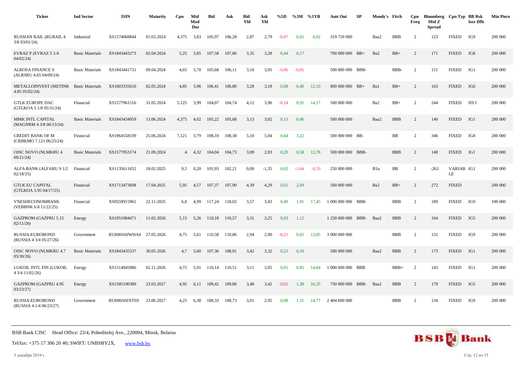| <b>Ticker</b>                                      | <b>Ind Sector</b>      | <b>ISIN</b>  | <b>Maturity</b> | Cpn   | Mid<br>Mod<br>Dur | <b>Bid</b> | Ask    | <b>Bid</b><br>Yld | Ask<br>Yld | %5D     |         | %3M %1YR | Amt Out            | SP   | Moody's Fitch |            | Cpn<br>Freq    | Bloomberg Cpn Typ BB Rsk<br>Mid Z<br><b>Spread</b> |                  | <b>Issr Dflt</b> | <b>Min Piece</b> |
|----------------------------------------------------|------------------------|--------------|-----------------|-------|-------------------|------------|--------|-------------------|------------|---------|---------|----------|--------------------|------|---------------|------------|----------------|----------------------------------------------------|------------------|------------------|------------------|
| <b>RUSSIAN RAIL (RURAIL 4</b><br>$3/8$ 03/01/24)   | Industrial             | XS1574068844 | 01.03.2024      | 4,375 | 3,83              | 105,97     | 106,28 | 2,87              | 2,79       | $-0.07$ | 0.65    | 8,92     | 319 759 000        |      | Baa2          | <b>BBB</b> | $\overline{2}$ | 123                                                | <b>FIXED</b>     | IG9              | 200 000          |
| EVRAZ P (EVRAZ 5 1/4<br>04/02/24                   | <b>Basic Materials</b> | XS1843443273 | 02.04.2024      | 5,25  | 3,85              | 107,58     | 107,86 | 3,35              | 3,28       | 0,44    | 0,17    |          | 700 000 000 BB+    |      | Ba2           | $BB+$      | 2              | 171                                                | <b>FIXED</b>     | IG8              | 200 000          |
| <b>ALROSA FINANCE S</b><br>(ALRSRU 4.65 04/09/24)  | <b>Basic Materials</b> | XS1843441731 | 09.04.2024      | 4.65  | 3.70              | 105,68     | 106,11 | 3,16              | 3,05       | $-0.06$ | $-0.05$ |          | 500 000 000 BBB-   |      |               | BBB-       | 2              | 151                                                | <b>FIXED</b>     | IG1              | 200 000          |
| <b>METALLOINVEST (METINR</b><br>4.85 05/02/24)     | <b>Basic Materials</b> | XS1603335610 | 02.05.2024      | 4,85  | 3,96              | 106,41     | 106,80 | 3,28              | 3,18       | 0,08    | 0,40    | 12,10    | 800 000 000 BB+    |      | Ba1           | $\rm BB+$  | $\overline{2}$ | 163                                                | <b>FIXED</b>     | IG6              | 200 000          |
| <b>GTLK EUROPE DAC</b><br>(GTLKOA 5 1/8 05/31/24)  | Financial              | XS1577961516 | 31.05.2024      | 5.125 | 3,99              | 104.07     | 104,74 | 4,12              | 3,96       | $-0.14$ | 0,91    | 14.17    | 500 000 000        |      | Ba2           | $BB+$      | $\overline{c}$ | 244                                                | <b>FIXED</b>     | HY1              | 200 000          |
| MMK INTL CAPITAL<br>(MAGNRM 4 3/8 06/13/24)        | <b>Basic Materials</b> | XS1843434959 | 13.06.2024      | 4,375 | 4,02              | 105,22     | 105,68 | 3,13              | 3,02       | 0,13    | 0,06    |          | 500 000 000        |      | Baa2          | <b>BBB</b> | $\overline{c}$ | 149                                                | <b>FIXED</b>     | IG1              | 200 000          |
| <b>CREDIT BANK OF M</b><br>(CRBKMO 7.121 06/25/24) | Financial              | XS1964558339 | 25.06.2024      | 7,121 | 3,79              | 108.10     | 108,38 | 5,10              | 5,04       | 0,64    | 3.22    |          | 500 000 000 BB-    |      |               | BB         | $\overline{2}$ | 346                                                | <b>FIXED</b>     | IG8              | 200 000          |
| <b>OJSC NOVO (NLMKRU 4</b><br>09/21/24             | <b>Basic Materials</b> | XS1577953174 | 21.09.2024      |       | 4, 32             | 104,04     | 104,73 | 3,09              | 2,93       | 0,20    | 0,58    | 12,78    | 500 000 000 BBB-   |      |               | <b>BBB</b> | $\overline{2}$ | 140                                                | <b>FIXED</b>     | IG1              | 200 000          |
| ALFA BANK (ALFARU 9 1/2<br>02/18/25                | Financial              | XS1135611652 | 18.02.2025      | 9,5   | 0,20              | 101,93     | 102,21 | 0,00              | $-1,35$    | 0,02    | $-1,64$ | $-0.33$  | 250 000 000        |      | B1u           | BB         | $\overline{2}$ | $-263$                                             | VARIAB IG1<br>LE |                  | 200 000          |
| <b>GTLK EU CAPITAL</b><br>(GTLKOA 5.95 04/17/25)   | Financial              | XS1713473608 | 17.04.2025      | 5,95  | 4,57              | 107,37     | 107,90 | 4,39              | 4,29       | 0,02    | 2,09    |          | 500 000 000        |      | Ba2           | $BB+$      | $\overline{2}$ | 272                                                | <b>FIXED</b>     |                  | 200 000          |
| VNESHECONOMBANK<br>(VEBBNK 6.8 11/22/25)           | Financial              | XS0559915961 | 22.11.2025      | 6,8   | 4,99              | 117,24     | 118,02 | 3,57              | 3,43       | 0,40    | 1,91    | 17,45    | 1 000 000 000 BBB- |      |               | <b>BBB</b> | $\overline{2}$ | 189                                                | <b>FIXED</b>     | IG9              | 100 000          |
| <b>GAZPROM (GAZPRU 5.15</b><br>02/11/26            | Energy                 | XS1951084471 | 11.02.2026      | 5.15  | 5,26              | 110.18     | 110.57 | 3,31              | 3,25       | 0,03    | 1,12    |          | 1 250 000 000      | BBB- | Baa2          | <b>BBB</b> | $\overline{2}$ | 164                                                | <b>FIXED</b>     | IG5              | 200 000          |
| RUSSIA-EUROBOND<br>(RUSSIA 4 3/4 05/27/26)         | Government             | RU000A0JWHA4 | 27.05.2026      | 4,75  | 5,61              | 110,58     | 110,86 | 2,94              | 2,90       | $-0,21$ | 0.65    | 13,05    | 3 000 000 000      |      |               | <b>BBB</b> | $\overline{2}$ | 131                                                | <b>FIXED</b>     | IG9              | 200 000          |
| <b>OJSC NOVO (NLMKRU 4.7</b><br>05/30/26           | <b>Basic Materials</b> | XS1843435337 | 30.05.2026      | 4.7   | 5,60              | 107,36     | 108,01 | 3,42              | 3,32       | 0,23    | 0,10    |          | 500 000 000        |      | Baa2          | <b>BBB</b> | 2              | 173                                                | <b>FIXED</b>     | IG1              | 200 000          |
| LUKOIL INTL FIN (LUKOIL<br>4 3/4 11/02/26)         | Energy                 | XS1514045886 | 02.11.2026      | 4,75  | 5,91              | 110,14     | 110,51 | 3,11              | 3,05       | 0,01    | 0.85    | 14,84    | 1 000 000 000 BBB  |      |               | $BBB+$     | $\overline{2}$ | 143                                                | <b>FIXED</b>     | IG1              | 200 000          |
| <b>GAZPROM (GAZPRU 4.95</b><br>03/23/27            | Energy                 | XS1585190389 | 23.03.2027      | 4.95  | 6.11              | 109.42     | 109.80 | 3.48              | 3.42       | $-0.02$ | 1.38    | 16.35    | 750 000 000 BBB-   |      | Baa2          | <b>BBB</b> | 2              | 179                                                | <b>FIXED</b>     | IG5              | 200 000          |
| RUSSIA-EUROBOND<br>(RUSSIA 4 1/4 06/23/27)         | Government             | RU000A0JXTS9 | 23.06.2027      | 4.25  | 6,38              | 108,33     | 108,73 | 3,01              | 2,95       | 0,08    | 1,31    | 14,77    | 2 404 600 000      |      |               | <b>BBB</b> | $\overline{2}$ | 134                                                | <b>FIXED</b>     | IG9              | 200 000          |

Tel/fax: +375 17 306 20 40; SWIFT: UNBSBY2X, [www.bsb.by](https://www.bsb.by/)

3 декабря 2019 г. Стр. 12 из 15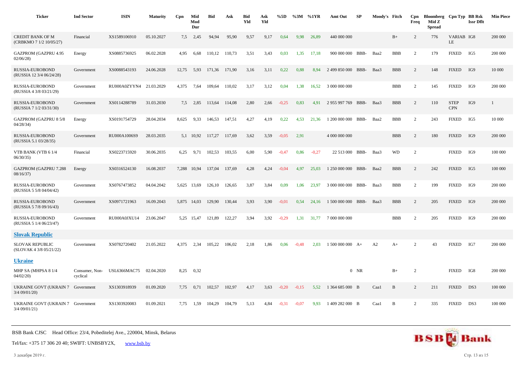| <b>Ticker</b>                                        | <b>Ind Sector</b>          | <b>ISIN</b>             | <b>Maturity</b> | Cpn   | Mid<br>Mod<br>Dur | <b>Bid</b> | Ask    | <b>Bid</b><br>Yld | Ask<br>Yld | %5D     | $\%3M$ %1YR |         | Amt Out             | SP     | Moody's Fitch |            | Cpn<br>Freq    | Bloomberg Cpn Typ BB Rsk<br>Mid Z<br><b>Spread</b> |                           | <b>Issr Dflt</b> | <b>Min Piece</b> |
|------------------------------------------------------|----------------------------|-------------------------|-----------------|-------|-------------------|------------|--------|-------------------|------------|---------|-------------|---------|---------------------|--------|---------------|------------|----------------|----------------------------------------------------|---------------------------|------------------|------------------|
| <b>CREDIT BANK OF M</b><br>(CRBKMO 7 1/2 10/05/27)   | Financial                  | XS1589106910            | 05.10.2027      | 7,5   | 2,45              | 94,94      | 95,90  | 9,57              | 9,17       | 0,64    | 9,98        | 26,89   | 440 000 000         |        |               | $B+$       | 2              | 776                                                | VARIAB IG8<br>LE          |                  | 200 000          |
| GAZPROM (GAZPRU 4.95<br>02/06/28                     | Energy                     | XS0885736925            | 06.02.2028      | 4,95  | 6,68              | 110,12     | 110,73 | 3,51              | 3,43       | 0,03    | 1,35        | 17,18   | 900 000 000 BBB-    |        | Baa2          | <b>BBB</b> | 2              | 179                                                | <b>FIXED</b>              | IG5              | 200 000          |
| RUSSIA-EUROBOND<br>(RUSSIA 12 3/4 06/24/28)          | Government                 | XS0088543193            | 24.06.2028      | 12,75 | 5,93              | 171,36     | 171,90 | 3,16              | 3,11       | 0,22    | 0.88        | 8,94    | 2 499 850 000 BBB-  |        | Baa3          | <b>BBB</b> | 2              | 148                                                | <b>FIXED</b>              | IG9              | 10 000           |
| RUSSIA-EUROBOND<br>(RUSSIA 4 3/8 03/21/29)           | Government                 | RU000A0ZYYN4 21.03.2029 |                 | 4,375 | 7,64              | 109,64     | 110,02 | 3,17              | 3,12       | 0,04    | 1,38        | 16,52   | 3 000 000 000       |        |               | <b>BBB</b> | 2              | 145                                                | <b>FIXED</b>              | IG9              | 200 000          |
| RUSSIA-EUROBOND<br>(RUSSIA 7 1/2 03/31/30)           | Government                 | XS0114288789            | 31.03.2030      | 7.5   | 2,85              | 113,64     | 114,08 | 2,80              | 2,66       | $-0,25$ | 0.83        | 4,91    | 2 955 997 769 BBB-  |        | Baa3          | <b>BBB</b> | $\overline{c}$ | 110                                                | <b>STEP</b><br><b>CPN</b> | IG9              | 1                |
| <b>GAZPROM (GAZPRU 8 5/8</b><br>04/28/34             | Energy                     | XS0191754729            | 28.04.2034      | 8,625 | 9,33              | 146,53     | 147,51 | 4,27              | 4,19       | 0,22    | 4,53        | 21,36   | 1 200 000 000 BBB-  |        | Baa2          | <b>BBB</b> | 2              | 243                                                | <b>FIXED</b>              | IG5              | 10 000           |
| <b>RUSSIA-EUROBOND</b><br>(RUSSIA 5.1 03/28/35)      | Government                 | RU000A1006S9            | 28.03.2035      |       | 5,1 10,92         | 117,27     | 117.69 | 3,62              | 3,59       | $-0.05$ | 2.91        |         | 4 000 000 000       |        |               | <b>BBB</b> | 2              | 180                                                | <b>FIXED</b>              | IG9              | 200 000          |
| VTB BANK (VTB 6 1/4<br>06/30/35                      | Financial                  | XS0223715920            | 30.06.2035      | 6,25  | 9,71              | 102,53     | 103,55 | 6,00              | 5,90       | $-0,47$ | 0,86        | $-0,27$ | 22 513 000 BBB-     |        | Baa3          | <b>WD</b>  | $\overline{c}$ |                                                    | <b>FIXED</b>              | IG9              | 100 000          |
| <b>GAZPROM (GAZPRU 7.288</b><br>08/16/37)            | Energy                     | XS0316524130            | 16.08.2037      | 7,288 | 10.94             | 137,04     | 137,69 | 4,28              | 4,24       | $-0,04$ | 4,97        | 25,03   | 1 250 000 000 BBB-  |        | Baa2          | <b>BBB</b> | 2              | 242                                                | <b>FIXED</b>              | IG5              | 100 000          |
| RUSSIA-EUROBOND<br>(RUSSIA 5 5/8 04/04/42)           | Government                 | XS0767473852            | 04.04.2042      | 5,625 | 13,69             | 126,10     | 126,65 | 3,87              | 3,84       | 0,09    | 1,06        | 23.97   | 3 000 000 000 BBB-  |        | Baa3          | <b>BBB</b> | 2              | 199                                                | <b>FIXED</b>              | IG9              | 200 000          |
| RUSSIA-EUROBOND<br>(RUSSIA 5 7/8 09/16/43)           | Government                 | XS0971721963            | 16.09.2043      |       | 5,875 14,03       | 129,90     | 130,44 | 3,93              | 3,90       | $-0.01$ | 0.54        | 24,16   | 1 500 000 000 BBB-  |        | Baa3          | <b>BBB</b> | 2              | 205                                                | <b>FIXED</b>              | IG9              | 200 000          |
| RUSSIA-EUROBOND<br>(RUSSIA 5 1/4 06/23/47)           | Government                 | RU000A0JXU14            | 23.06.2047      |       | 5,25 15,47        | 121,89     | 122,27 | 3,94              | 3,92       | $-0,29$ | 1,31        |         | 31,77 7 000 000 000 |        |               | <b>BBB</b> | $\overline{2}$ | 205                                                | <b>FIXED</b>              | IG9              | 200 000          |
| <b>Slovak Republic</b>                               |                            |                         |                 |       |                   |            |        |                   |            |         |             |         |                     |        |               |            |                |                                                    |                           |                  |                  |
| <b>SLOVAK REPUBLIC</b><br>(SLOVAK 4 3/8 05/21/22)    | Government                 | XS0782720402            | 21.05.2022      | 4,375 | 2,34              | 105.22     | 106,02 | 2,18              | 1,86       | 0,06    | $-0,48$     | 2,03    | $1500000000 A+$     |        | A2            | $A+$       | 2              | 43                                                 | <b>FIXED</b>              | IG7              | 200 000          |
| <b>Ukraine</b>                                       |                            |                         |                 |       |                   |            |        |                   |            |         |             |         |                     |        |               |            |                |                                                    |                           |                  |                  |
| MHP SA (MHPSA 8 1/4<br>04/02/20                      | Consumer, Non-<br>cyclical | <b>USL6366MAC75</b>     | 02.04.2020      | 8,25  | 0,32              |            |        |                   |            |         |             |         |                     | $0$ NR |               | $B+$       | $\overline{c}$ |                                                    | <b>FIXED</b>              | IG8              | 200 000          |
| UKRAINE GOVT (UKRAIN 7<br>$3/4$ 09/01/20)            | Government                 | XS1303918939            | 01.09.2020      | 7,75  | 0,71              | 102,57     | 102,97 | 4,17              | 3,63       | $-0.20$ | $-0.15$     | 5,52    | 1 364 685 000 B     |        | Caa1          | B          | 2              | 211                                                | <b>FIXED</b>              | DS3              | 100 000          |
| UKRAINE GOVT (UKRAIN 7 Government<br>$3/4$ 09/01/21) |                            | XS1303920083            | 01.09.2021      | 7,75  | 1,59              | 104,29     | 104,79 | 5,13              | 4,84       | $-0.31$ | $-0.07$     | 9,93    | 1 409 282 000 B     |        | Caal          | B          | $\overline{2}$ | 335                                                | <b>FIXED</b>              | DS3              | 100 000          |

Tel/fax: +375 17 306 20 40; SWIFT: UNBSBY2X, [www.bsb.by](https://www.bsb.by/)

3 декабря 2019 г. Стр. 13 из 15

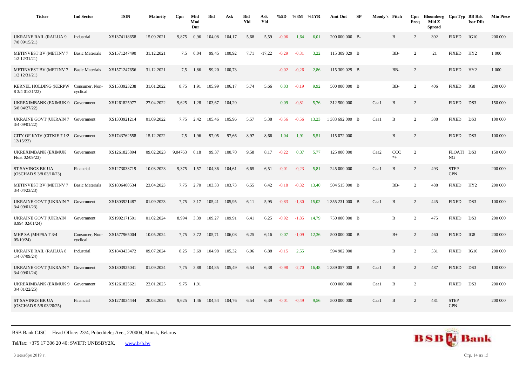| <b>Ticker</b>                                           | <b>Ind Sector</b>          | <b>ISIN</b>  | <b>Maturity</b> | Cpn     | Mid<br>Mod<br>Dur | <b>Bid</b> | Ask    | <b>Bid</b><br>Yld | Ask<br>Yld | %5D     | %3M     | %1YR  | Amt Out         | SP | Moody's Fitch |                | Cpn<br>Freq    | Bloomberg Cpn Typ BB Rsk<br>Mid Z<br><b>Spread</b> |                           | <b>Issr Dflt</b> | <b>Min Piece</b> |
|---------------------------------------------------------|----------------------------|--------------|-----------------|---------|-------------------|------------|--------|-------------------|------------|---------|---------|-------|-----------------|----|---------------|----------------|----------------|----------------------------------------------------|---------------------------|------------------|------------------|
| <b>UKRAINE RAIL (RAILUA 9</b><br>7/8 09/15/21)          | Industrial                 | XS1374118658 | 15.09.2021      | 9,875   | 0,96              | 104,08     | 104,17 | 5,68              | 5,59       | $-0.06$ | 1,64    | 6,01  | 200 000 000 B-  |    |               | B              | 2              | 392                                                | <b>FIXED</b>              | IG10             | 200 000          |
| <b>METINVEST BV (METINV 7</b><br>$1/2$ $12/31/21$       | <b>Basic Materials</b>     | XS1571247490 | 31.12.2021      | 7.5     | 0,04              | 99,45      | 100,92 | 7,71              | $-17,22$   | $-0,29$ | $-0,31$ | 3,22  | 115 309 029 B   |    |               | BB-            | 2              | 21                                                 | <b>FIXED</b>              | HY <sub>2</sub>  | 1 0 0 0          |
| <b>METINVEST BV (METINV 7</b><br>$1/2$ $12/31/21$       | <b>Basic Materials</b>     | XS1571247656 | 31.12.2021      | 7.5     | 1,86              | 99,20      | 100,73 |                   |            | $-0.02$ | $-0,26$ | 2,86  | 115 309 029 B   |    |               | BB-            | 2              |                                                    | <b>FIXED</b>              | HY2              | 1 0 0 0          |
| KERNEL HOLDING (KERPW Consumer, Non-<br>8 3/4 01/31/22) | cyclical                   | XS1533923238 | 31.01.2022      | 8,75    | 1,91              | 105,99     | 106,17 | 5,74              | 5,66       | 0,03    | $-0,19$ | 9,92  | 500 000 000 B   |    |               | BB-            | 2              | 406                                                | <b>FIXED</b>              | IG8              | 200 000          |
| UKREXIMBANK (EXIMUK 9 Government<br>5/8 04/27/22)       |                            | XS1261825977 | 27.04.2022      | 9,625   | 1,28              | 103,67     | 104,29 |                   |            | 0,09    | $-0.81$ | 5,76  | 312 500 000     |    | Caal          | $\, {\bf B}$   | 2              |                                                    | <b>FIXED</b>              | DS3              | 150 000          |
| UKRAINE GOVT (UKRAIN 7 Government<br>3/4 09/01/22)      |                            | XS1303921214 | 01.09.2022      | 7,75    | 2,42              | 105,46     | 105,96 | 5,57              | 5,38       | $-0.56$ | $-0,56$ | 13,23 | 1 383 692 000 B |    | Caa1          | B              | 2              | 388                                                | <b>FIXED</b>              | DS3              | 100 000          |
| CITY OF KYIV (CITKIE 7 1/2 Government<br>12/15/22       |                            | XS1743762558 | 15.12.2022      | 7,5     | 1,96              | 97,05      | 97,66  | 8,97              | 8,66       | 1,04    | 1,91    | 5,51  | 115 072 000     |    |               | $\, {\bf B}$   | 2              |                                                    | <b>FIXED</b>              | DS3              | 100 000          |
| UKREXIMBANK (EXIMUK<br>Float 02/09/23)                  | Government                 | XS1261825894 | 09.02.2023      | 9,04763 | 0,18              | 99,37      | 100,70 | 9.58              | 8,17       | $-0,22$ | 0,37    | 5,77  | 125 000 000     |    | Caa2          | CCC<br>$*_{+}$ | 2              |                                                    | FLOATI DS3<br>NG          |                  | 150 000          |
| ST SAVINGS BK UA<br>(OSCHAD 9 3/8 03/10/23)             | Financial                  | XS1273033719 | 10.03.2023      | 9,375   | 1,57              | 104,36     | 104,61 | 6,65              | 6,51       | $-0.01$ | $-0,23$ | 5,81  | 245 000 000     |    | Caal          | B              | 2              | 493                                                | <b>STEP</b><br><b>CPN</b> |                  | 200 000          |
| <b>METINVEST BV (METINV 7</b><br>$3/4$ $04/23/23$       | <b>Basic Materials</b>     | XS1806400534 | 23.04.2023      | 7,75    | 2,70              | 103,33     | 103,73 | 6,55              | 6,42       | $-0.18$ | $-0,32$ | 13,40 | 504 515 000 B   |    |               | BB-            | 2              | 488                                                | <b>FIXED</b>              | HY <sub>2</sub>  | 200 000          |
| UKRAINE GOVT (UKRAIN 7 Government<br>3/4 09/01/23)      |                            | XS1303921487 | 01.09.2023      |         | 7,75 3,17         | 105,41     | 105,95 | 6,11              | 5,95       | $-0.83$ | $-1,30$ | 15,02 | 1 355 231 000 B |    | Caa1          | B              | $\overline{2}$ | 445                                                | <b>FIXED</b>              | DS3              | 100 000          |
| <b>UKRAINE GOVT (UKRAIN</b><br>8.994 02/01/24)          | Government                 | XS1902171591 | 01.02.2024      | 8,994   | 3,39              | 109,27     | 109,91 | 6,41              | 6,25       | $-0.92$ | $-1,85$ | 14,79 | 750 000 000 B   |    |               | B              | 2              | 475                                                | <b>FIXED</b>              | DS3              | 200 000          |
| MHP SA (MHPSA 7 3/4<br>05/10/24                         | Consumer, Non-<br>cyclical | XS1577965004 | 10.05.2024      | 7,75    | 3,72              | 105,71     | 106,08 | 6,25              | 6,16       | 0,07    | $-1,09$ | 12,36 | 500 000 000 B   |    |               | $B+$           | $\overline{c}$ | 460                                                | <b>FIXED</b>              | IG8              | 200 000          |
| <b>UKRAINE RAIL (RAILUA 8</b><br>$1/4$ 07/09/24)        | Industrial                 | XS1843433472 | 09.07.2024      | 8,25    | 3,69              | 104,98     | 105,32 | 6,96              | 6,88       | $-0.15$ | 2,55    |       | 594 902 000     |    |               | B              | $\overline{c}$ | 531                                                | <b>FIXED</b>              | IG10             | 200 000          |
| UKRAINE GOVT (UKRAIN 7 Government<br>3/4 09/01/24)      |                            | XS1303925041 | 01.09.2024      | 7,75    | 3,88              | 104,85     | 105,49 | 6,54              | 6,38       | $-0,98$ | $-2,70$ | 16,48 | 1 339 057 000 B |    | Caa1          | B              | 2              | 487                                                | <b>FIXED</b>              | DS3              | 100 000          |
| UKREXIMBANK (EXIMUK 9 Government<br>3/4 01/22/25)       |                            | XS1261825621 | 22.01.2025      | 9,75    | 1,91              |            |        |                   |            |         |         |       | 600 000 000     |    | Caal          | B              | $\overline{2}$ |                                                    | <b>FIXED</b>              | DS3              | 200 000          |
| <b>ST SAVINGS BK UA</b><br>(OSCHAD 9 5/8 03/20/25)      | Financial                  | XS1273034444 | 20.03.2025      | 9.625   | 1.46              | 104.54     | 104.76 | 6.54              | 6.39       | $-0.01$ | $-0.49$ | 9.56  | 500 000 000     |    | Caal          | B              | 2              | 481                                                | <b>STEP</b><br><b>CPN</b> |                  | 200 000          |

Tel/fax: +375 17 306 20 40; SWIFT: UNBSBY2X, [www.bsb.by](https://www.bsb.by/)

3 декабря 2019 г. Стр. 14 из 15